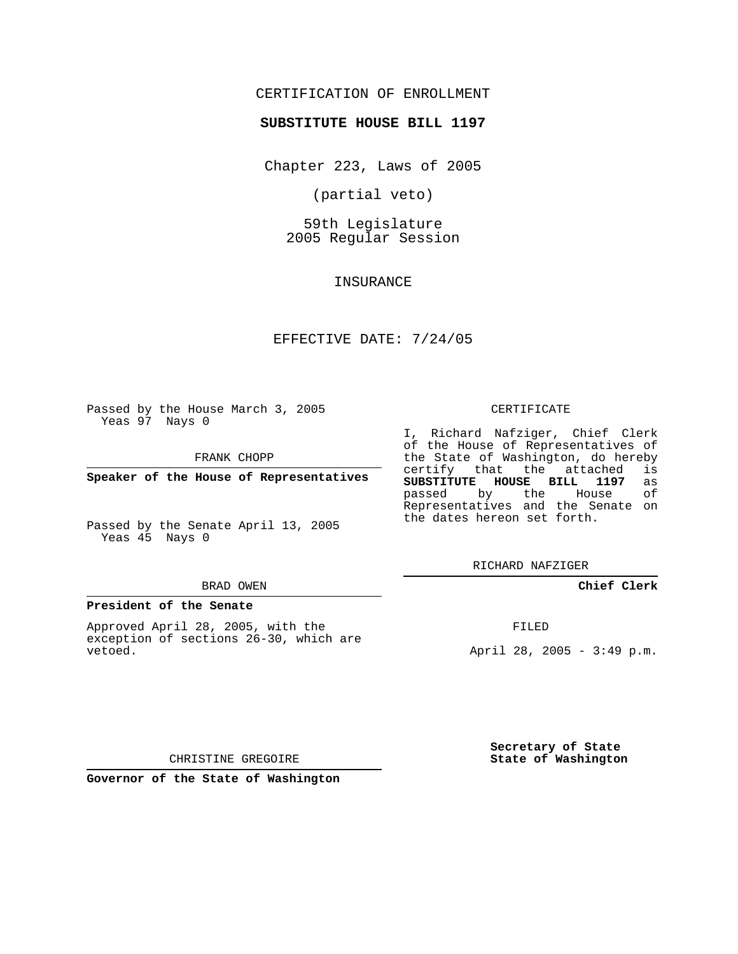## CERTIFICATION OF ENROLLMENT

### **SUBSTITUTE HOUSE BILL 1197**

Chapter 223, Laws of 2005

(partial veto)

59th Legislature 2005 Regular Session

INSURANCE

### EFFECTIVE DATE: 7/24/05

Passed by the House March 3, 2005 Yeas 97 Nays 0

FRANK CHOPP

**Speaker of the House of Representatives**

Passed by the Senate April 13, 2005 Yeas 45 Nays 0

#### BRAD OWEN

#### **President of the Senate**

Approved April 28, 2005, with the exception of sections 26-30, which are vetoed.

#### CERTIFICATE

I, Richard Nafziger, Chief Clerk of the House of Representatives of the State of Washington, do hereby<br>certify that the attached is certify that the attached is<br>**SUBSTITUTE HOUSE BILL 1197** as **SUBSTITUTE HOUSE BILL 1197** as passed by the House Representatives and the Senate on the dates hereon set forth.

RICHARD NAFZIGER

### **Chief Clerk**

FILED

April 28, 2005 - 3:49 p.m.

**Secretary of State State of Washington**

CHRISTINE GREGOIRE

**Governor of the State of Washington**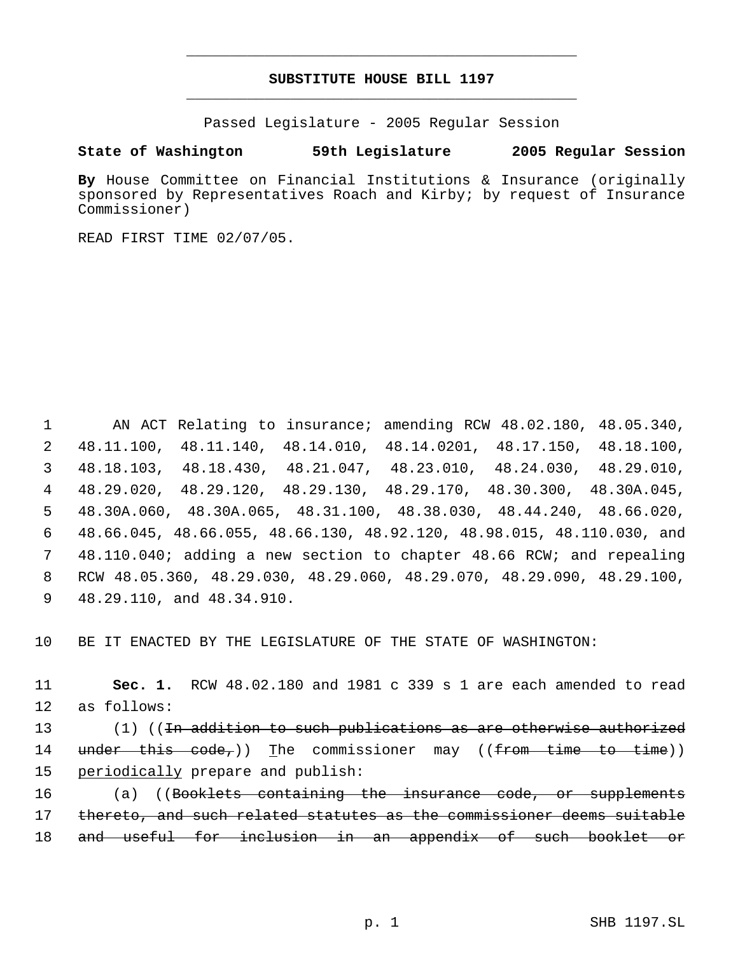# **SUBSTITUTE HOUSE BILL 1197** \_\_\_\_\_\_\_\_\_\_\_\_\_\_\_\_\_\_\_\_\_\_\_\_\_\_\_\_\_\_\_\_\_\_\_\_\_\_\_\_\_\_\_\_\_

\_\_\_\_\_\_\_\_\_\_\_\_\_\_\_\_\_\_\_\_\_\_\_\_\_\_\_\_\_\_\_\_\_\_\_\_\_\_\_\_\_\_\_\_\_

Passed Legislature - 2005 Regular Session

## **State of Washington 59th Legislature 2005 Regular Session**

**By** House Committee on Financial Institutions & Insurance (originally sponsored by Representatives Roach and Kirby; by request of Insurance Commissioner)

READ FIRST TIME 02/07/05.

 AN ACT Relating to insurance; amending RCW 48.02.180, 48.05.340, 48.11.100, 48.11.140, 48.14.010, 48.14.0201, 48.17.150, 48.18.100, 48.18.103, 48.18.430, 48.21.047, 48.23.010, 48.24.030, 48.29.010, 48.29.020, 48.29.120, 48.29.130, 48.29.170, 48.30.300, 48.30A.045, 48.30A.060, 48.30A.065, 48.31.100, 48.38.030, 48.44.240, 48.66.020, 48.66.045, 48.66.055, 48.66.130, 48.92.120, 48.98.015, 48.110.030, and 48.110.040; adding a new section to chapter 48.66 RCW; and repealing RCW 48.05.360, 48.29.030, 48.29.060, 48.29.070, 48.29.090, 48.29.100, 48.29.110, and 48.34.910.

10 BE IT ENACTED BY THE LEGISLATURE OF THE STATE OF WASHINGTON:

11 **Sec. 1.** RCW 48.02.180 and 1981 c 339 s 1 are each amended to read 12 as follows:

13 (1) ((<del>In addition to such publications as are otherwise authorized</del> 14 under this code,)) The commissioner may ((from time to time)) 15 periodically prepare and publish:

16 (a) ((Booklets containing the insurance code, or supplements 17 thereto, and such related statutes as the commissioner deems suitable 18 and useful for inclusion in an appendix of such booklet or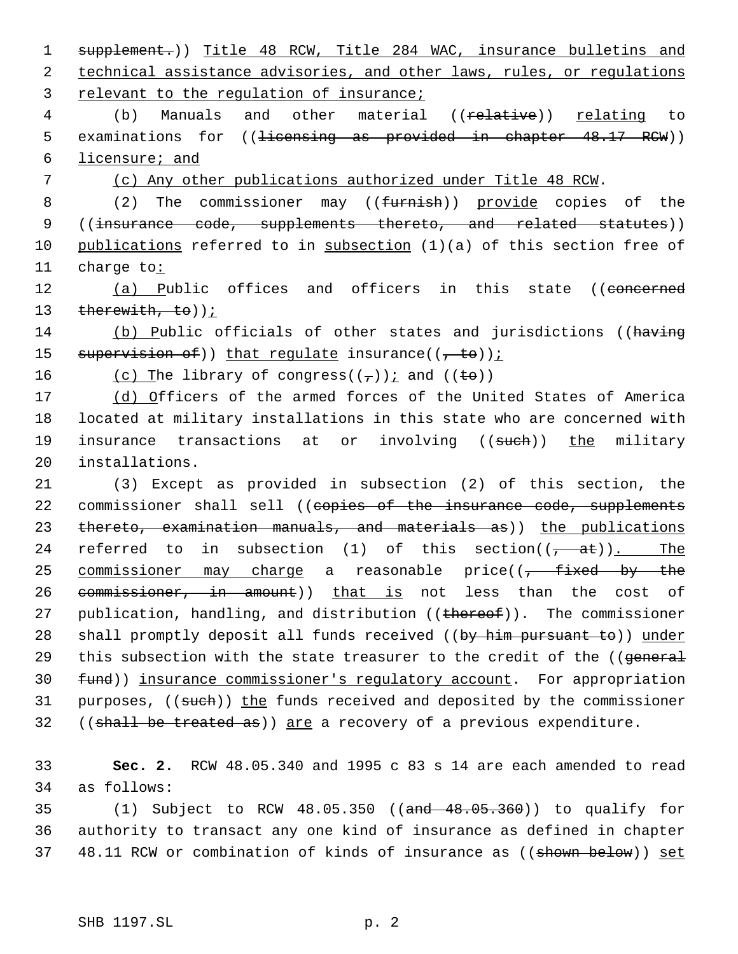1 supplement.)) Title 48 RCW, Title 284 WAC, insurance bulletins and 2 technical assistance advisories, and other laws, rules, or regulations 3 relevant to the regulation of insurance; 4 (b) Manuals and other material ((<del>relative</del>)) relating to 5 examinations for ((<del>licensing as provided in chapter 48.17 RCW</del>)) 6 licensure; and 7 (c) Any other publications authorized under Title 48 RCW. 8 (2) The commissioner may ((furnish)) provide copies of the 9 ((insurance code, supplements thereto, and related statutes)) 10 publications referred to in subsection (1)(a) of this section free of 11 charge to: 12 (a) Public offices and officers in this state ((concerned 13  $therewith, to)$ ) : 14 (b) Public officials of other states and jurisdictions ((having 15 supervision of)) that regulate insurance( $(\frac{1}{1} + \epsilon_0)$ ) i 16 (c) The library of congress( $(\tau)$ ) i and ((to)) 17 (d) Officers of the armed forces of the United States of America 18 located at military installations in this state who are concerned with 19 insurance transactions at or involving ((sueh)) the military 20 installations. 21 (3) Except as provided in subsection (2) of this section, the 22 commissioner shall sell ((copies of the insurance code, supplements 23 thereto, examination manuals, and materials as)) the publications 24 referred to in subsection (1) of this section( $(-at)$ ). The 25 commissioner may charge a reasonable price( $\sqrt{t}$  fixed by the 26 commissioner, in amount)) that is not less than the cost of 27 publication, handling, and distribution ((thereof)). The commissioner 28 shall promptly deposit all funds received ((by him pursuant to)) under 29 this subsection with the state treasurer to the credit of the ((general 30 fund)) insurance commissioner's regulatory account. For appropriation 31 purposes, ((such)) the funds received and deposited by the commissioner 32 ((shall be treated as)) are a recovery of a previous expenditure. 33 **Sec. 2.** RCW 48.05.340 and 1995 c 83 s 14 are each amended to read 34 as follows:

35 (1) Subject to RCW 48.05.350 ((and 48.05.360)) to qualify for 36 authority to transact any one kind of insurance as defined in chapter 37 48.11 RCW or combination of kinds of insurance as ((shown below)) set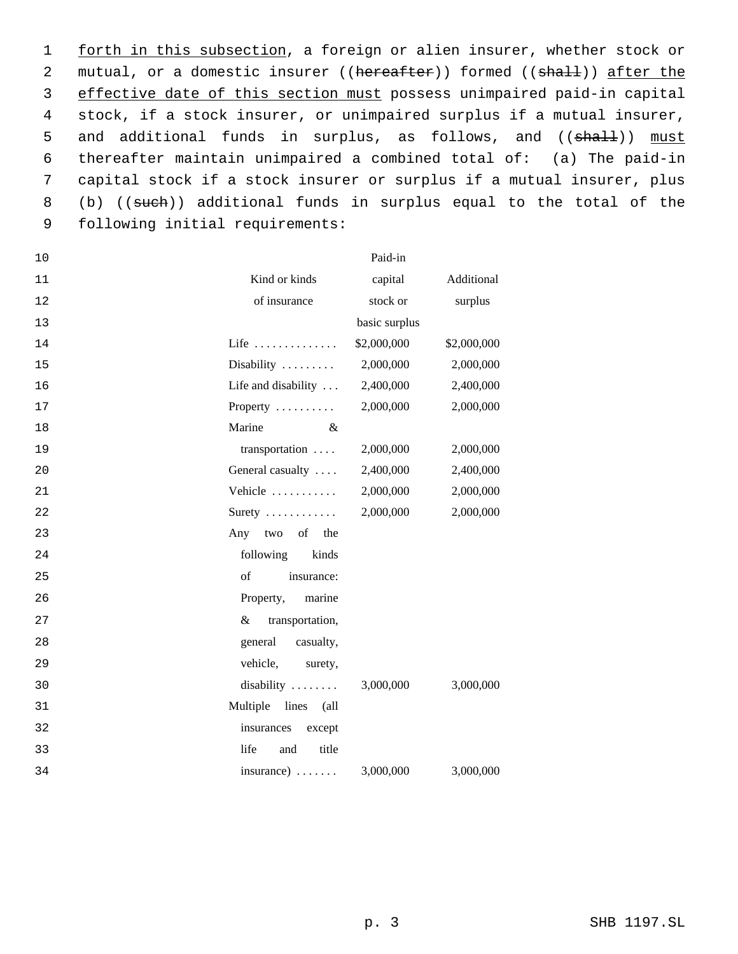1 forth in this subsection, a foreign or alien insurer, whether stock or 2 mutual, or a domestic insurer ((hereafter)) formed ((shall)) after the effective date of this section must possess unimpaired paid-in capital stock, if a stock insurer, or unimpaired surplus if a mutual insurer, 5 and additional funds in surplus, as follows, and ((shall)) must thereafter maintain unimpaired a combined total of: (a) The paid-in capital stock if a stock insurer or surplus if a mutual insurer, plus (b) ((such)) additional funds in surplus equal to the total of the following initial requirements:

| 10 |                                  | Paid-in       |             |
|----|----------------------------------|---------------|-------------|
| 11 | Kind or kinds                    | capital       | Additional  |
| 12 | of insurance                     | stock or      | surplus     |
| 13 |                                  | basic surplus |             |
| 14 | Life $\dots\dots\dots\dots\dots$ | \$2,000,000   | \$2,000,000 |
| 15 | Disability $\dots \dots$         | 2,000,000     | 2,000,000   |
| 16 | Life and disability              | 2,400,000     | 2,400,000   |
| 17 | Property                         | 2,000,000     | 2,000,000   |
| 18 | Marine<br>&                      |               |             |
| 19 | transportation                   | 2,000,000     | 2,000,000   |
| 20 | General casualty                 | 2,400,000     | 2,400,000   |
| 21 | Vehicle                          | 2,000,000     | 2,000,000   |
| 22 | Surety                           | 2,000,000     | 2,000,000   |
| 23 | Any two of the                   |               |             |
| 24 | following<br>kinds               |               |             |
| 25 | of<br>insurance:                 |               |             |
| 26 | Property,<br>marine              |               |             |
| 27 | $\&$<br>transportation,          |               |             |
| 28 | general<br>casualty,             |               |             |
| 29 | vehicle,<br>surety,              |               |             |
| 30 | disability                       | 3,000,000     | 3,000,000   |
| 31 | Multiple<br>lines<br>(all        |               |             |
| 32 | insurances<br>except             |               |             |
| 33 | title<br>life<br>and             |               |             |
| 34 | insurance)                       | 3,000,000     | 3,000,000   |
|    |                                  |               |             |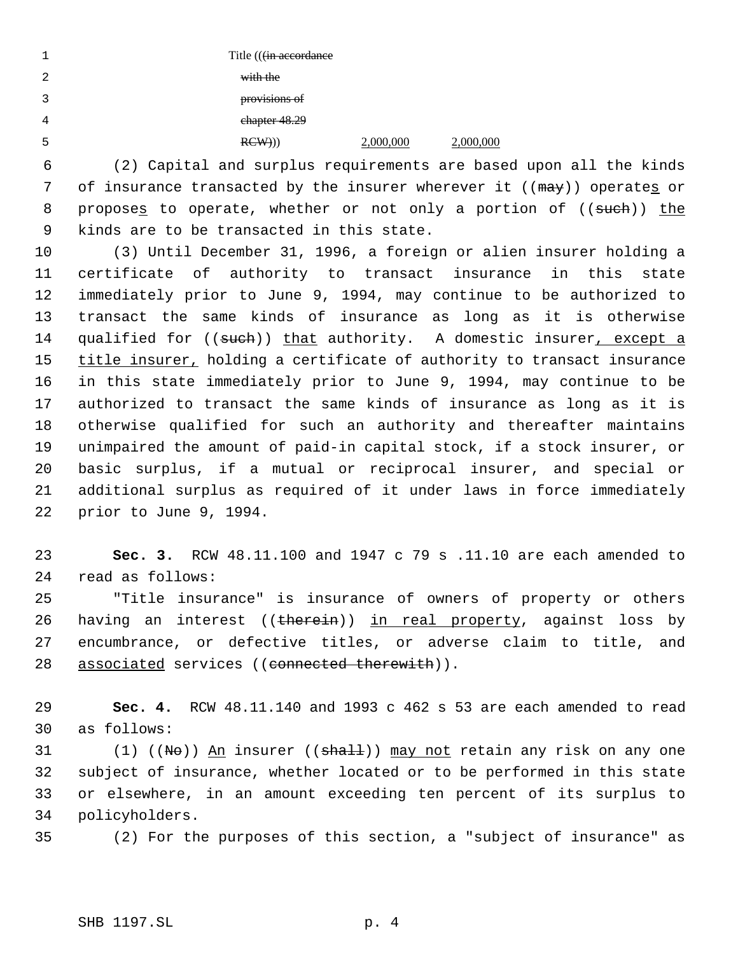Title (((in accordance) with the provisions of chapter 48.29 RCW)) 2,000,000 2,000,000

 (2) Capital and surplus requirements are based upon all the kinds 7 of insurance transacted by the insurer wherever it ((may)) operates or 8 proposes to operate, whether or not only a portion of ((such)) the kinds are to be transacted in this state.

 (3) Until December 31, 1996, a foreign or alien insurer holding a certificate of authority to transact insurance in this state immediately prior to June 9, 1994, may continue to be authorized to transact the same kinds of insurance as long as it is otherwise 14 qualified for ((such)) that authority. A domestic insurer, except a 15 title insurer, holding a certificate of authority to transact insurance in this state immediately prior to June 9, 1994, may continue to be authorized to transact the same kinds of insurance as long as it is otherwise qualified for such an authority and thereafter maintains unimpaired the amount of paid-in capital stock, if a stock insurer, or basic surplus, if a mutual or reciprocal insurer, and special or additional surplus as required of it under laws in force immediately prior to June 9, 1994.

 **Sec. 3.** RCW 48.11.100 and 1947 c 79 s .11.10 are each amended to read as follows:

 "Title insurance" is insurance of owners of property or others 26 having an interest ((therein)) in real property, against loss by encumbrance, or defective titles, or adverse claim to title, and 28 associated services ((connected therewith)).

 **Sec. 4.** RCW 48.11.140 and 1993 c 462 s 53 are each amended to read as follows:

31 (1) (( $N\Theta$ )) An insurer (( $\theta$ hall)) may not retain any risk on any one subject of insurance, whether located or to be performed in this state or elsewhere, in an amount exceeding ten percent of its surplus to policyholders.

(2) For the purposes of this section, a "subject of insurance" as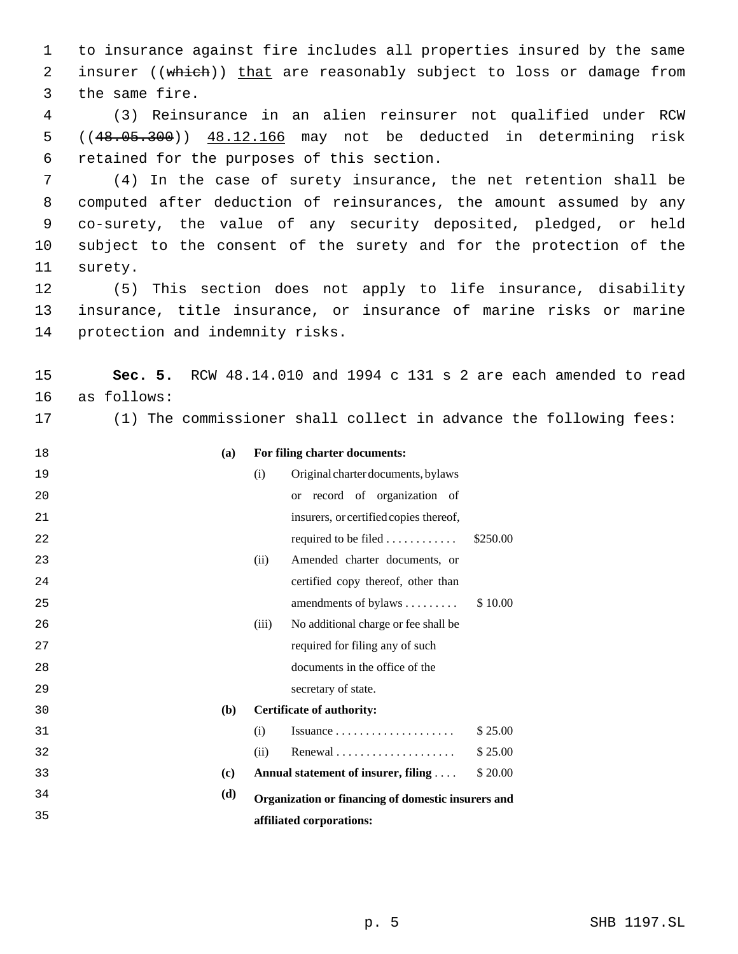to insurance against fire includes all properties insured by the same 2 insurer ((which)) that are reasonably subject to loss or damage from the same fire.

 (3) Reinsurance in an alien reinsurer not qualified under RCW ((48.05.300)) 48.12.166 may not be deducted in determining risk retained for the purposes of this section.

 (4) In the case of surety insurance, the net retention shall be computed after deduction of reinsurances, the amount assumed by any co-surety, the value of any security deposited, pledged, or held subject to the consent of the surety and for the protection of the surety.

 (5) This section does not apply to life insurance, disability insurance, title insurance, or insurance of marine risks or marine protection and indemnity risks.

 **Sec. 5.** RCW 48.14.010 and 1994 c 131 s 2 are each amended to read as follows: (1) The commissioner shall collect in advance the following fees:

| 18 | (a)                         | For filing charter documents:                      |                                            |          |
|----|-----------------------------|----------------------------------------------------|--------------------------------------------|----------|
| 19 |                             | (i)                                                | Original charter documents, bylaws         |          |
| 20 |                             |                                                    | record of organization of<br><sub>or</sub> |          |
| 21 |                             |                                                    | insurers, or certified copies thereof,     |          |
| 22 |                             |                                                    | required to be filed                       | \$250.00 |
| 23 |                             | (ii)                                               | Amended charter documents, or              |          |
| 24 |                             |                                                    | certified copy thereof, other than         |          |
| 25 |                             |                                                    | amendments of bylaws                       | \$10.00  |
| 26 |                             | (iii)                                              | No additional charge or fee shall be       |          |
| 27 |                             |                                                    | required for filing any of such            |          |
| 28 |                             |                                                    | documents in the office of the             |          |
| 29 |                             |                                                    | secretary of state.                        |          |
| 30 | (b)                         |                                                    | <b>Certificate of authority:</b>           |          |
| 31 |                             | (i)                                                |                                            | \$25.00  |
| 32 |                             | (ii)                                               |                                            | \$25.00  |
| 33 | $\left( \mathbf{c} \right)$ |                                                    | Annual statement of insurer, filing        | \$20.00  |
| 34 | (d)                         | Organization or financing of domestic insurers and |                                            |          |
| 35 |                             |                                                    | affiliated corporations:                   |          |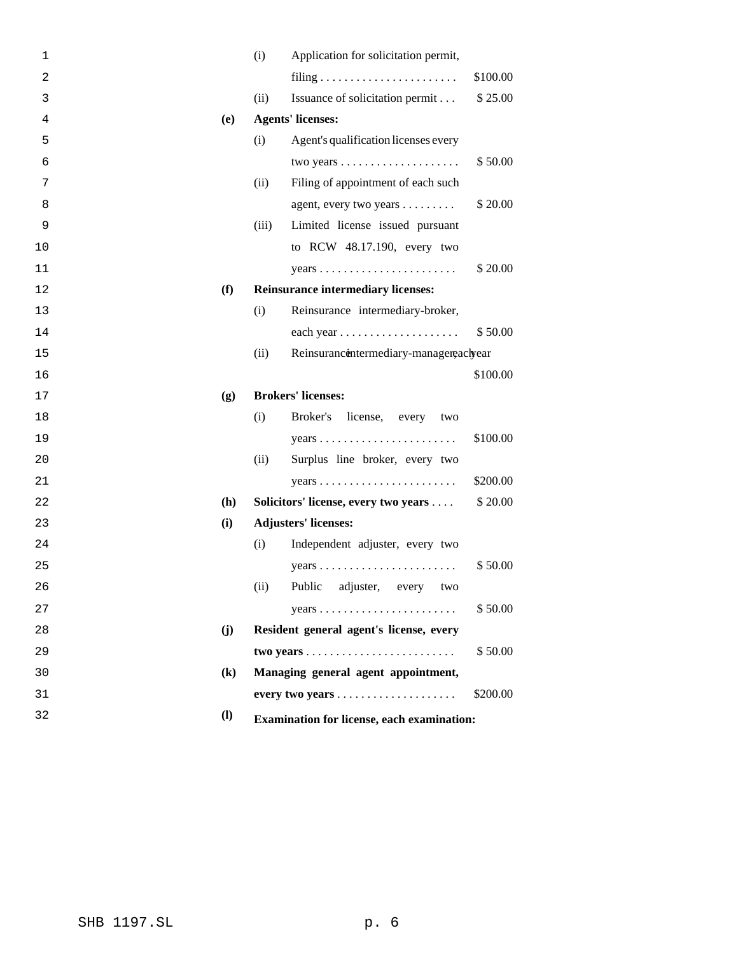| 1  |                            | (i)   | Application for solicitation permit,                          |          |
|----|----------------------------|-------|---------------------------------------------------------------|----------|
| 2  |                            |       |                                                               | \$100.00 |
| 3  |                            | (ii)  | Issuance of solicitation permit                               | \$25.00  |
| 4  | (e)                        |       | <b>Agents' licenses:</b>                                      |          |
| 5  |                            | (i)   | Agent's qualification licenses every                          |          |
| 6  |                            |       |                                                               | \$50.00  |
| 7  |                            | (ii)  | Filing of appointment of each such                            |          |
| 8  |                            |       | agent, every two years                                        | \$20.00  |
| 9  |                            | (iii) | Limited license issued pursuant                               |          |
| 10 |                            |       | to RCW 48.17.190, every two                                   |          |
| 11 |                            |       | $years \dots \dots \dots \dots \dots \dots \dots \dots$       | \$20.00  |
| 12 | (f)                        |       | <b>Reinsurance intermediary licenses:</b>                     |          |
| 13 |                            | (i)   | Reinsurance intermediary-broker,                              |          |
| 14 |                            |       |                                                               | \$50.00  |
| 15 |                            | (ii)  | Reinsurancentermediary-managereaclyear                        |          |
| 16 |                            |       |                                                               | \$100.00 |
| 17 | (g)                        |       | <b>Brokers' licenses:</b>                                     |          |
| 18 |                            | (i)   | Broker's license, every<br>two                                |          |
| 19 |                            |       | $years \dots \dots \dots \dots \dots \dots \dots \dots$       | \$100.00 |
| 20 |                            | (ii)  | Surplus line broker, every two                                |          |
| 21 |                            |       | $years \dots \dots \dots \dots \dots \dots \dots \dots \dots$ | \$200.00 |
| 22 | (h)                        |       | Solicitors' license, every two years                          | \$20.00  |
| 23 | (i)                        |       | <b>Adjusters' licenses:</b>                                   |          |
| 24 |                            | (i)   | Independent adjuster, every two                               |          |
| 25 |                            |       | $years \dots \dots \dots \dots \dots \dots \dots \dots$       | \$50.00  |
| 26 |                            | (ii)  | Public adjuster, every two                                    |          |
| 27 |                            |       | $years \dots \dots \dots \dots \dots \dots \dots \dots$       | \$50.00  |
| 28 | (j)                        |       | Resident general agent's license, every                       |          |
| 29 |                            |       |                                                               | \$50.00  |
| 30 | $\left( \mathbf{k}\right)$ |       | Managing general agent appointment,                           |          |
| 31 |                            |       |                                                               | \$200.00 |
| 32 | $\mathbf{I}$               |       | <b>Examination for license, each examination:</b>             |          |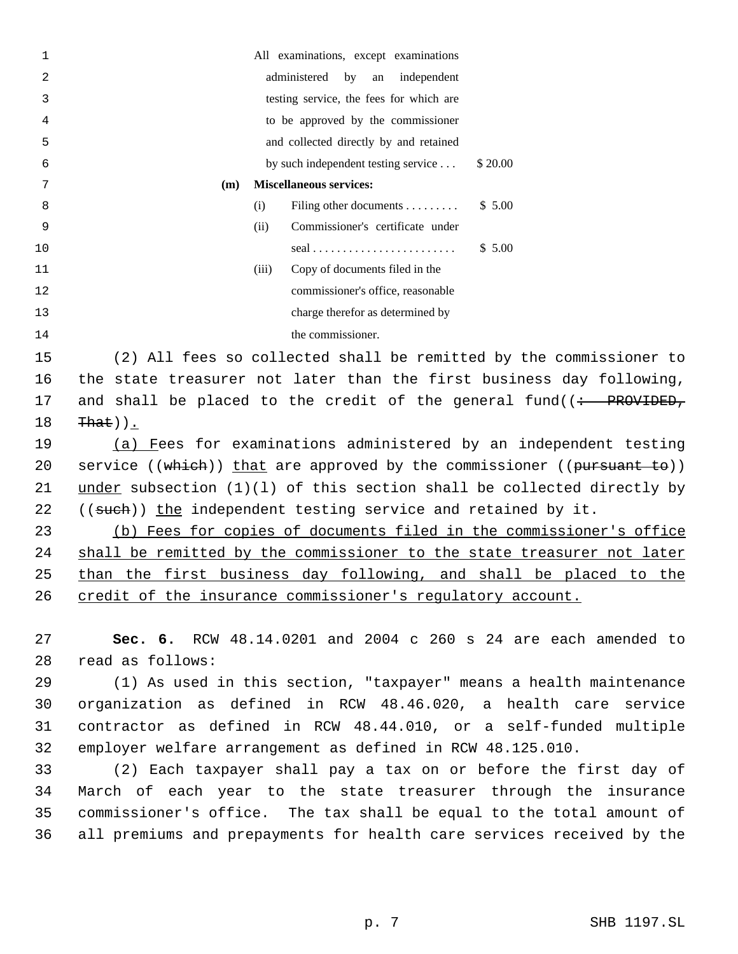| $\mathbf 1$ |                                    |                                        | All examinations, except examinations   |          |
|-------------|------------------------------------|----------------------------------------|-----------------------------------------|----------|
| 2           |                                    |                                        | administered by<br>an independent       |          |
| 3           |                                    |                                        | testing service, the fees for which are |          |
| 4           | to be approved by the commissioner |                                        |                                         |          |
| 5           |                                    | and collected directly by and retained |                                         |          |
| 6           |                                    |                                        | by such independent testing service     | \$ 20.00 |
| 7           | (m)                                | <b>Miscellaneous services:</b>         |                                         |          |
| 8           |                                    | (i)                                    | Filing other documents $\dots \dots$    | \$5.00   |
| 9           |                                    | (ii)                                   | Commissioner's certificate under        |          |
| 10          |                                    |                                        |                                         | \$5.00   |
| 11          |                                    | (iii)                                  | Copy of documents filed in the          |          |
| 12          |                                    |                                        | commissioner's office, reasonable       |          |
| 13          |                                    |                                        | charge therefor as determined by        |          |
| 14          |                                    |                                        | the commissioner.                       |          |
|             |                                    |                                        |                                         |          |

15 (2) All fees so collected shall be remitted by the commissioner to 16 the state treasurer not later than the first business day following, 17 and shall be placed to the credit of the general fund( $\left(\div\right)$  PROVIDED,  $18$  That)).

19 (a) Fees for examinations administered by an independent testing 20 service ((which)) that are approved by the commissioner ((pursuant to)) 21 under subsection  $(1)(1)$  of this section shall be collected directly by 22 ((such)) the independent testing service and retained by it.

23 (b) Fees for copies of documents filed in the commissioner's office 24 shall be remitted by the commissioner to the state treasurer not later 25 than the first business day following, and shall be placed to the 26 credit of the insurance commissioner's regulatory account.

27 **Sec. 6.** RCW 48.14.0201 and 2004 c 260 s 24 are each amended to 28 read as follows:

 (1) As used in this section, "taxpayer" means a health maintenance organization as defined in RCW 48.46.020, a health care service contractor as defined in RCW 48.44.010, or a self-funded multiple employer welfare arrangement as defined in RCW 48.125.010.

 (2) Each taxpayer shall pay a tax on or before the first day of March of each year to the state treasurer through the insurance commissioner's office. The tax shall be equal to the total amount of all premiums and prepayments for health care services received by the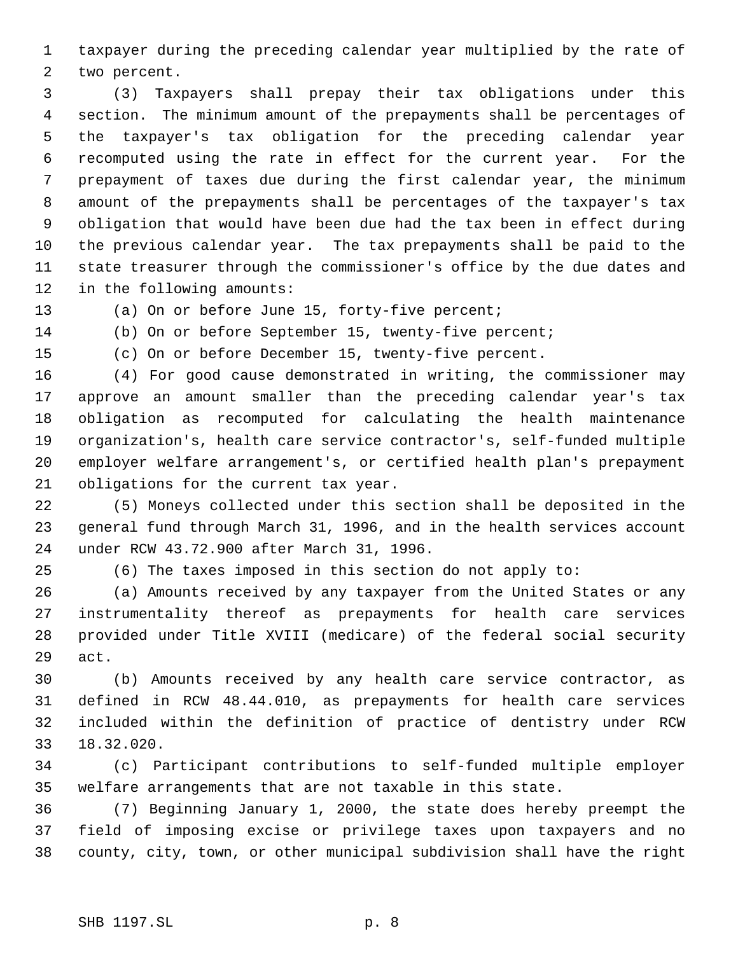taxpayer during the preceding calendar year multiplied by the rate of two percent.

 (3) Taxpayers shall prepay their tax obligations under this section. The minimum amount of the prepayments shall be percentages of the taxpayer's tax obligation for the preceding calendar year recomputed using the rate in effect for the current year. For the prepayment of taxes due during the first calendar year, the minimum amount of the prepayments shall be percentages of the taxpayer's tax obligation that would have been due had the tax been in effect during the previous calendar year. The tax prepayments shall be paid to the state treasurer through the commissioner's office by the due dates and in the following amounts:

(a) On or before June 15, forty-five percent;

(b) On or before September 15, twenty-five percent;

(c) On or before December 15, twenty-five percent.

 (4) For good cause demonstrated in writing, the commissioner may approve an amount smaller than the preceding calendar year's tax obligation as recomputed for calculating the health maintenance organization's, health care service contractor's, self-funded multiple employer welfare arrangement's, or certified health plan's prepayment obligations for the current tax year.

 (5) Moneys collected under this section shall be deposited in the general fund through March 31, 1996, and in the health services account under RCW 43.72.900 after March 31, 1996.

(6) The taxes imposed in this section do not apply to:

 (a) Amounts received by any taxpayer from the United States or any instrumentality thereof as prepayments for health care services provided under Title XVIII (medicare) of the federal social security act.

 (b) Amounts received by any health care service contractor, as defined in RCW 48.44.010, as prepayments for health care services included within the definition of practice of dentistry under RCW 18.32.020.

 (c) Participant contributions to self-funded multiple employer welfare arrangements that are not taxable in this state.

 (7) Beginning January 1, 2000, the state does hereby preempt the field of imposing excise or privilege taxes upon taxpayers and no county, city, town, or other municipal subdivision shall have the right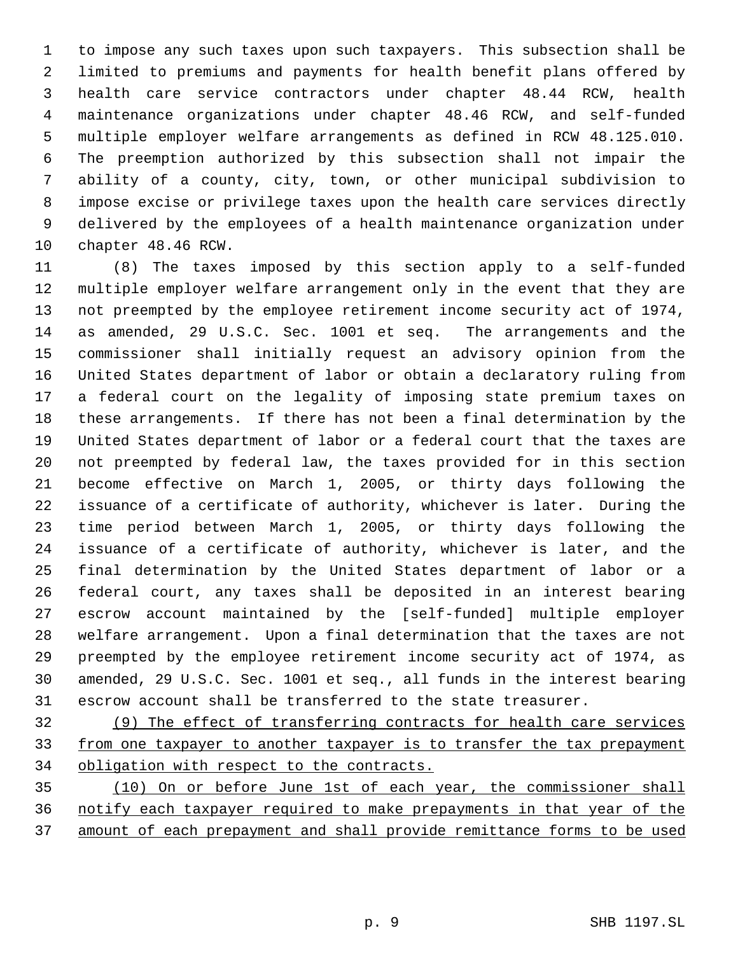to impose any such taxes upon such taxpayers. This subsection shall be limited to premiums and payments for health benefit plans offered by health care service contractors under chapter 48.44 RCW, health maintenance organizations under chapter 48.46 RCW, and self-funded multiple employer welfare arrangements as defined in RCW 48.125.010. The preemption authorized by this subsection shall not impair the ability of a county, city, town, or other municipal subdivision to impose excise or privilege taxes upon the health care services directly delivered by the employees of a health maintenance organization under chapter 48.46 RCW.

 (8) The taxes imposed by this section apply to a self-funded multiple employer welfare arrangement only in the event that they are not preempted by the employee retirement income security act of 1974, as amended, 29 U.S.C. Sec. 1001 et seq. The arrangements and the commissioner shall initially request an advisory opinion from the United States department of labor or obtain a declaratory ruling from a federal court on the legality of imposing state premium taxes on these arrangements. If there has not been a final determination by the United States department of labor or a federal court that the taxes are not preempted by federal law, the taxes provided for in this section become effective on March 1, 2005, or thirty days following the issuance of a certificate of authority, whichever is later. During the time period between March 1, 2005, or thirty days following the issuance of a certificate of authority, whichever is later, and the final determination by the United States department of labor or a federal court, any taxes shall be deposited in an interest bearing escrow account maintained by the [self-funded] multiple employer welfare arrangement. Upon a final determination that the taxes are not preempted by the employee retirement income security act of 1974, as amended, 29 U.S.C. Sec. 1001 et seq., all funds in the interest bearing escrow account shall be transferred to the state treasurer.

 (9) The effect of transferring contracts for health care services from one taxpayer to another taxpayer is to transfer the tax prepayment 34 obligation with respect to the contracts.

 (10) On or before June 1st of each year, the commissioner shall notify each taxpayer required to make prepayments in that year of the amount of each prepayment and shall provide remittance forms to be used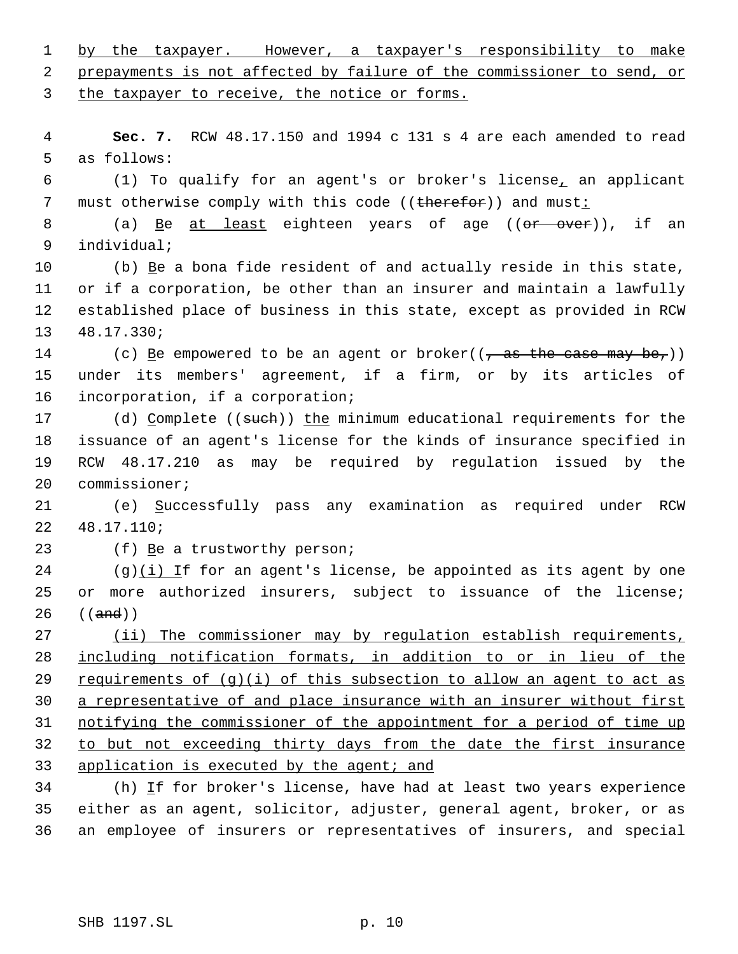by the taxpayer. However, a taxpayer's responsibility to make prepayments is not affected by failure of the commissioner to send, or the taxpayer to receive, the notice or forms. **Sec. 7.** RCW 48.17.150 and 1994 c 131 s 4 are each amended to read as follows: (1) To qualify for an agent's or broker's license, an applicant 7 must otherwise comply with this code ((therefor)) and must: 8 (a) Be at least eighteen years of age ((<del>or over</del>)), if an individual; 10 (b) Be a bona fide resident of and actually reside in this state, or if a corporation, be other than an insurer and maintain a lawfully established place of business in this state, except as provided in RCW 48.17.330; 14 (c) Be empowered to be an agent or broker( $(\tau$  as the case may be,)) under its members' agreement, if a firm, or by its articles of incorporation, if a corporation; 17 (d) Complete ((such)) the minimum educational requirements for the issuance of an agent's license for the kinds of insurance specified in RCW 48.17.210 as may be required by regulation issued by the commissioner; (e) Successfully pass any examination as required under RCW 48.17.110;  $(f)$   $\text{Be}$  a trustworthy person; (g)(i) If for an agent's license, be appointed as its agent by one or more authorized insurers, subject to issuance of the license; ((and)) (ii) The commissioner may by regulation establish requirements, including notification formats, in addition to or in lieu of the 29 requirements of  $(g)(i)$  of this subsection to allow an agent to act as a representative of and place insurance with an insurer without first notifying the commissioner of the appointment for a period of time up to but not exceeding thirty days from the date the first insurance 33 application is executed by the agent; and 34 (h) If for broker's license, have had at least two years experience either as an agent, solicitor, adjuster, general agent, broker, or as

SHB 1197.SL p. 10

an employee of insurers or representatives of insurers, and special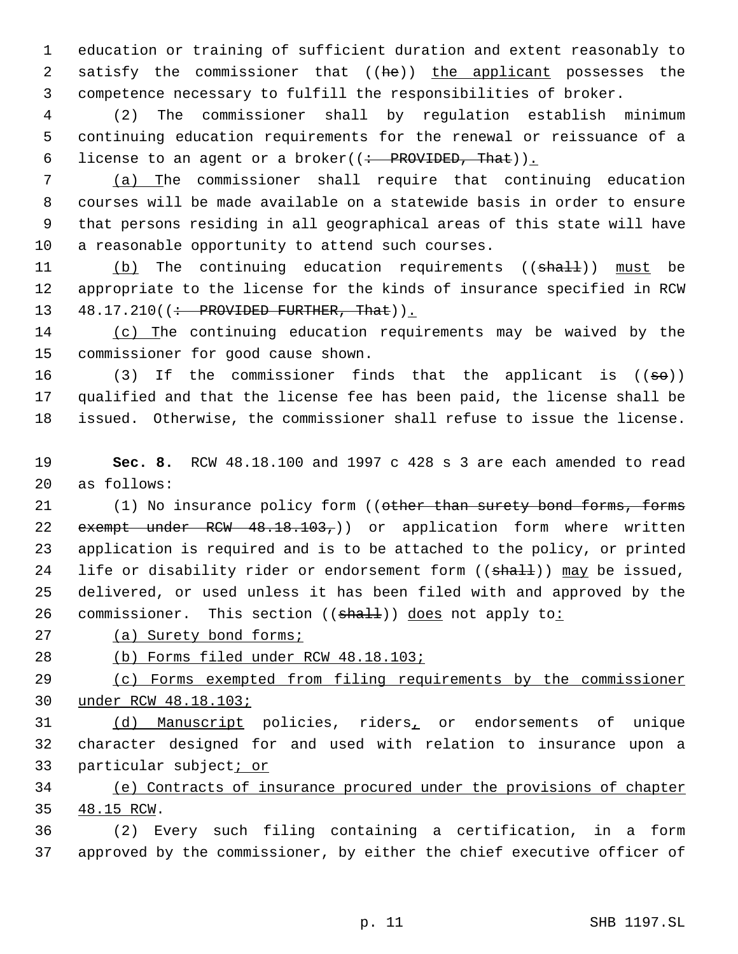education or training of sufficient duration and extent reasonably to 2 satisfy the commissioner that ((he)) the applicant possesses the competence necessary to fulfill the responsibilities of broker.

 (2) The commissioner shall by regulation establish minimum continuing education requirements for the renewal or reissuance of a 6 license to an agent or a broker( $(\div$  PROVIDED, That)).

 (a) The commissioner shall require that continuing education courses will be made available on a statewide basis in order to ensure that persons residing in all geographical areas of this state will have a reasonable opportunity to attend such courses.

11 (b) The continuing education requirements ((shall)) must be appropriate to the license for the kinds of insurance specified in RCW 13 48.17.210((: PROVIDED FURTHER, That)).

 (c) The continuing education requirements may be waived by the commissioner for good cause shown.

16 (3) If the commissioner finds that the applicant is  $((\frac{1}{50}))$  qualified and that the license fee has been paid, the license shall be issued. Otherwise, the commissioner shall refuse to issue the license.

 **Sec. 8.** RCW 48.18.100 and 1997 c 428 s 3 are each amended to read as follows:

21 (1) No insurance policy form ((other than surety bond forms, forms 22 exempt under RCW 48.18.103,)) or application form where written application is required and is to be attached to the policy, or printed 24 life or disability rider or endorsement form ((shall)) may be issued, delivered, or used unless it has been filed with and approved by the 26 commissioner. This section ((shall)) does not apply to:

27 (a) Surety bond forms;

(b) Forms filed under RCW 48.18.103;

 (c) Forms exempted from filing requirements by the commissioner under RCW 48.18.103;

 (d) Manuscript policies, riders, or endorsements of unique character designed for and used with relation to insurance upon a particular subject; or

 (e) Contracts of insurance procured under the provisions of chapter 48.15 RCW.

 (2) Every such filing containing a certification, in a form approved by the commissioner, by either the chief executive officer of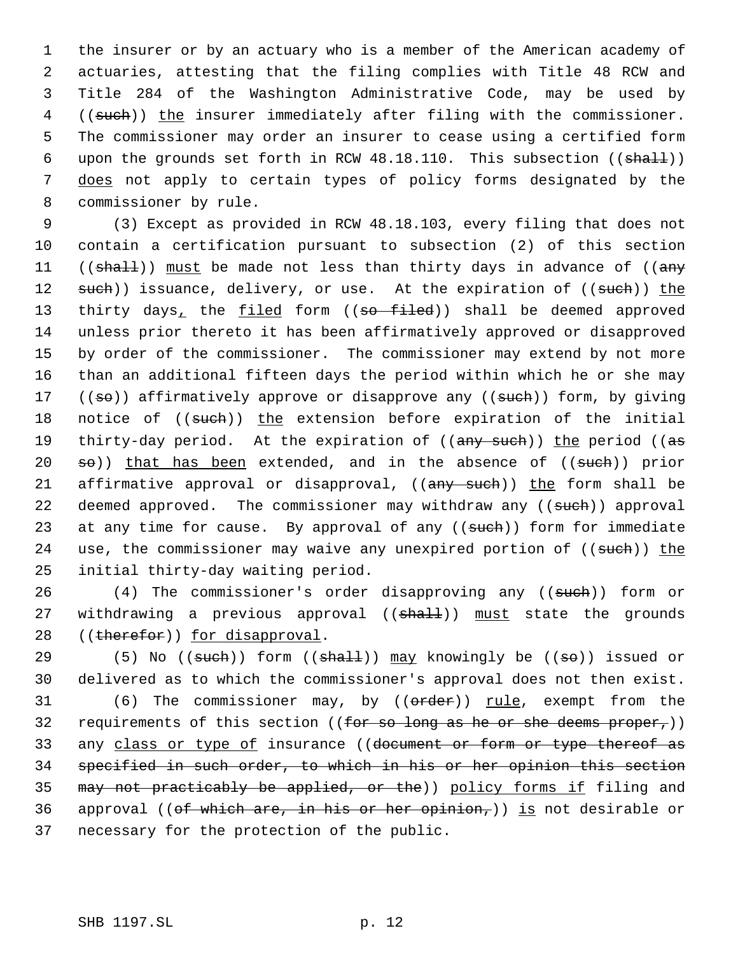the insurer or by an actuary who is a member of the American academy of actuaries, attesting that the filing complies with Title 48 RCW and Title 284 of the Washington Administrative Code, may be used by ((such)) the insurer immediately after filing with the commissioner. The commissioner may order an insurer to cease using a certified form 6 upon the grounds set forth in RCW  $48.18.110$ . This subsection (( $\text{shall})$ ) does not apply to certain types of policy forms designated by the commissioner by rule.

 9 (3) Except as provided in RCW 48.18.103, every filing that does not 10 contain a certification pursuant to subsection (2) of this section 11 (( $shall$ )) must be made not less than thirty days in advance of (( $any$ 12 such)) issuance, delivery, or use. At the expiration of ((such)) the 13 thirty days, the filed form ((so filed)) shall be deemed approved 14 unless prior thereto it has been affirmatively approved or disapproved 15 by order of the commissioner. The commissioner may extend by not more 16 than an additional fifteen days the period within which he or she may 17 (( $\texttt{so}$ )) affirmatively approve or disapprove any (( $\texttt{such}$ )) form, by giving 18 notice of ((such)) the extension before expiration of the initial 19 thirty-day period. At the expiration of ((any such)) the period ((as 20 so)) that has been extended, and in the absence of ((such)) prior 21 affirmative approval or disapproval, ((any such)) the form shall be 22 deemed approved. The commissioner may withdraw any ((such)) approval 23 at any time for cause. By approval of any ((such)) form for immediate 24 use, the commissioner may waive any unexpired portion of ((such)) the 25 initial thirty-day waiting period.

26 (4) The commissioner's order disapproving any ((such)) form or 27 withdrawing a previous approval ((shall)) must state the grounds 28 ((therefor)) for disapproval.

29 (5) No (( $\text{such}$ ) form (( $\text{shall}$ )) may knowingly be (( $\text{se}$ )) issued or 30 delivered as to which the commissioner's approval does not then exist. 31 (6) The commissioner may, by ((order)) rule, exempt from the 32 requirements of this section ((for so long as he or she deems proper,)) 33 any class or type of insurance ((document or form or type thereof as 34 specified in such order, to which in his or her opinion this section 35 may not practicably be applied, or the)) policy forms if filing and 36 approval (( $of$  which are, in his or her opinion,)) is not desirable or 37 necessary for the protection of the public.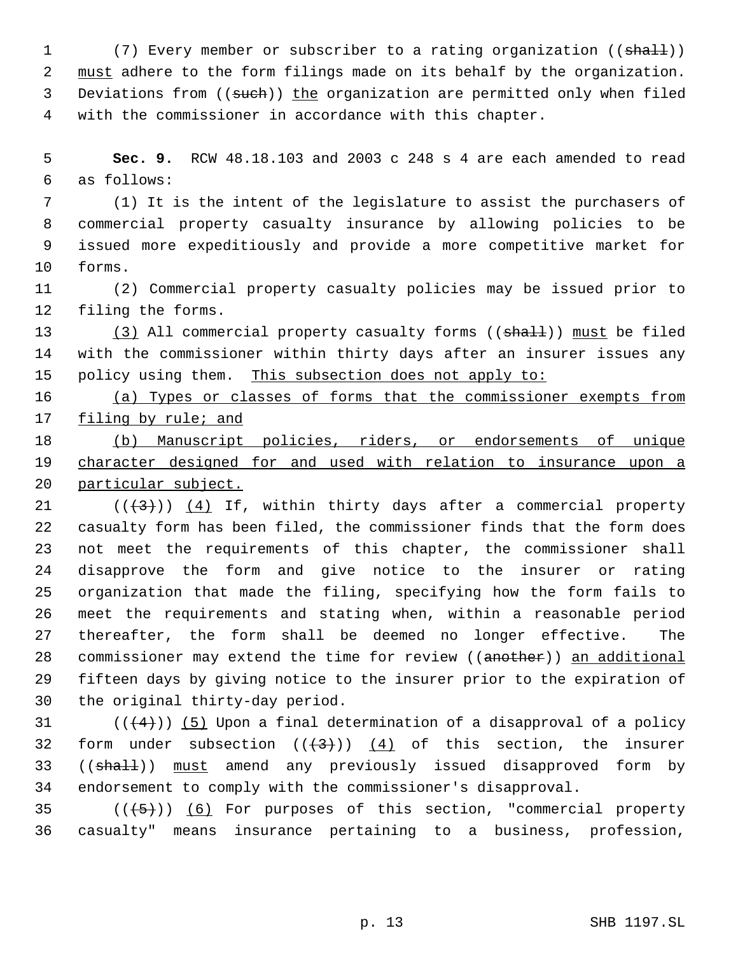1 (7) Every member or subscriber to a rating organization ((shall)) 2 must adhere to the form filings made on its behalf by the organization. 3 Deviations from ((such)) the organization are permitted only when filed with the commissioner in accordance with this chapter.

 **Sec. 9.** RCW 48.18.103 and 2003 c 248 s 4 are each amended to read as follows:

 (1) It is the intent of the legislature to assist the purchasers of commercial property casualty insurance by allowing policies to be issued more expeditiously and provide a more competitive market for forms.

 (2) Commercial property casualty policies may be issued prior to filing the forms.

13 (3) All commercial property casualty forms (( $\frac{1}{3}$ ) must be filed with the commissioner within thirty days after an insurer issues any 15 policy using them. This subsection does not apply to:

 (a) Types or classes of forms that the commissioner exempts from filing by rule; and

 (b) Manuscript policies, riders, or endorsements of unique 19 character designed for and used with relation to insurance upon a particular subject.

 $((+3))$   $(4)$  If, within thirty days after a commercial property casualty form has been filed, the commissioner finds that the form does not meet the requirements of this chapter, the commissioner shall disapprove the form and give notice to the insurer or rating organization that made the filing, specifying how the form fails to meet the requirements and stating when, within a reasonable period thereafter, the form shall be deemed no longer effective. The 28 commissioner may extend the time for review ((another)) an additional fifteen days by giving notice to the insurer prior to the expiration of the original thirty-day period.

31  $((+4))$  (5) Upon a final determination of a disapproval of a policy 32 form under subsection  $((+3)^2)$   $(4)$  of this section, the insurer 33 ((shall)) must amend any previously issued disapproved form by endorsement to comply with the commissioner's disapproval.

35  $((+5))$   $(6)$  For purposes of this section, "commercial property casualty" means insurance pertaining to a business, profession,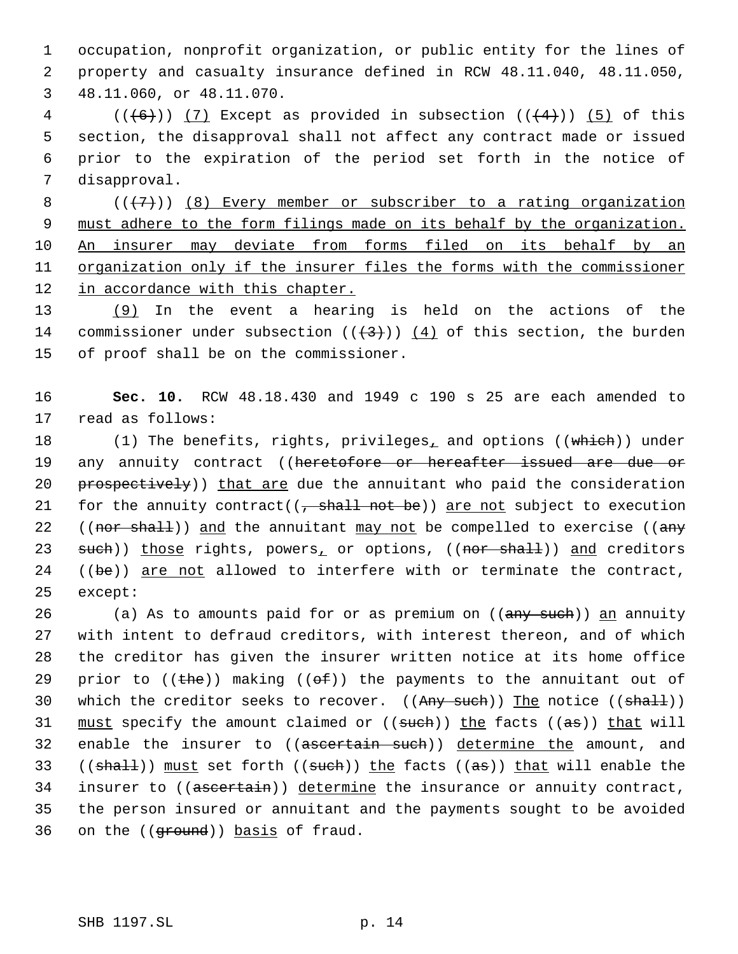1 occupation, nonprofit organization, or public entity for the lines of 2 property and casualty insurance defined in RCW 48.11.040, 48.11.050, 3 48.11.060, or 48.11.070.

4 ( $(\overline{6})$ ) (7) Except as provided in subsection ( $(\overline{4})$ ) (5) of this section, the disapproval shall not affect any contract made or issued prior to the expiration of the period set forth in the notice of disapproval.

 $((+7))$  (8) Every member or subscriber to a rating organization 9 must adhere to the form filings made on its behalf by the organization. An insurer may deviate from forms filed on its behalf by an organization only if the insurer files the forms with the commissioner in accordance with this chapter.

13 (9) In the event a hearing is held on the actions of the 14 commissioner under subsection  $((+3))$  (4) of this section, the burden 15 of proof shall be on the commissioner.

16 **Sec. 10.** RCW 48.18.430 and 1949 c 190 s 25 are each amended to 17 read as follows:

18 (1) The benefits, rights, privileges, and options ((which)) under 19 any annuity contract ((heretofore or hereafter issued are due or 20 prospectively)) that are due the annuitant who paid the consideration 21 for the annuity contract( $(\frac{1}{2} + 1)$  shall not be) are not subject to execution 22 ((nor shall)) and the annuitant may not be compelled to exercise ((any 23 such)) those rights, powers, or options, ((nor shall)) and creditors 24  $((be))$  are not allowed to interfere with or terminate the contract, 25 except:

26 (a) As to amounts paid for or as premium on ((any such)) an annuity 27 with intent to defraud creditors, with interest thereon, and of which 28 the creditor has given the insurer written notice at its home office 29 prior to  $($  ( $t$ he)) making  $($   $($ of)) the payments to the annuitant out of 30 which the creditor seeks to recover.  $((A<sub>ny</sub> - B<sub>1</sub>)$  and  $( B<sub>1</sub> + B<sub>1</sub>)$ 31 must specify the amount claimed or  $((such))$  the facts  $((as))$  that will 32 enable the insurer to ((ascertain such)) determine the amount, and 33 (( $\text{shalt}$ )) must set forth (( $\text{such}$ )) the facts ( $\text{as}$ )) that will enable the 34 insurer to ((ascertain)) determine the insurance or annuity contract, 35 the person insured or annuitant and the payments sought to be avoided 36 on the ((ground)) basis of fraud.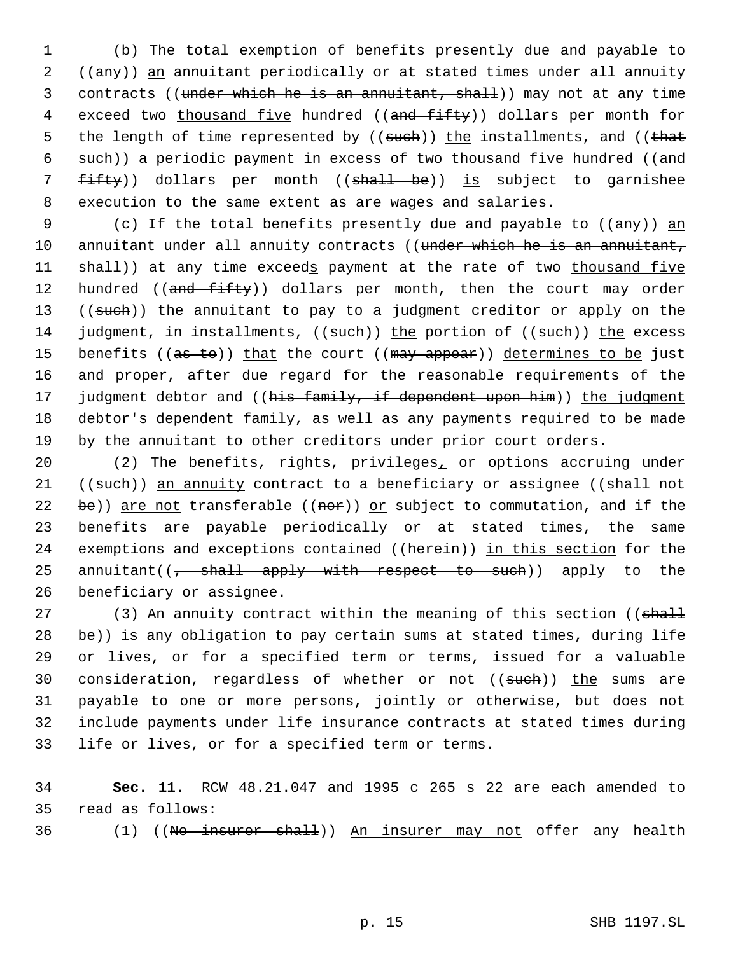1 (b) The total exemption of benefits presently due and payable to 2 ((any)) an annuitant periodically or at stated times under all annuity 3 contracts ((under which he is an annuitant, shall)) may not at any time 4 exceed two thousand five hundred ((and fifty)) dollars per month for 5 the length of time represented by ((such)) the installments, and ((that 6 such)) a periodic payment in excess of two thousand five hundred ((and 7 fifty)) dollars per month ((shall be)) is subject to garnishee 8 execution to the same extent as are wages and salaries.

9 (c) If the total benefits presently due and payable to ((any)) an 10 annuitant under all annuity contracts ((under which he is an annuitant, 11 shall)) at any time exceeds payment at the rate of two thousand five 12 hundred ((and fifty)) dollars per month, then the court may order 13 ((such)) the annuitant to pay to a judgment creditor or apply on the 14 judgment, in installments, ((such)) the portion of ((such)) the excess 15 benefits ((as to)) that the court ((may appear)) determines to be just 16 and proper, after due regard for the reasonable requirements of the 17 judgment debtor and ((his family, if dependent upon him)) the judgment 18 debtor's dependent family, as well as any payments required to be made 19 by the annuitant to other creditors under prior court orders.

20 (2) The benefits, rights, privileges, or options accruing under 21 ((such)) an annuity contract to a beneficiary or assignee ((shall not 22 be)) are not transferable ((nor)) or subject to commutation, and if the 23 benefits are payable periodically or at stated times, the same 24 exemptions and exceptions contained ((herein)) in this section for the 25 annuitant( $\left(\frac{1}{f} + \frac{1}{f} + \frac{1}{f} + \frac{1}{f} + \frac{1}{f} + \frac{1}{f} + \frac{1}{f} + \frac{1}{f} + \frac{1}{f} + \frac{1}{f} + \frac{1}{f} + \frac{1}{f} + \frac{1}{f} + \frac{1}{f} + \frac{1}{f} + \frac{1}{f} + \frac{1}{f} + \frac{1}{f} + \frac{1}{f} + \frac{1}{f} + \frac{1}{f} + \frac{1}{f} + \frac{1}{f} + \frac{1}{f} + \frac{1}{f} + \frac{1}{$ 26 beneficiary or assignee.

27 (3) An annuity contract within the meaning of this section ((shall 28 be)) is any obligation to pay certain sums at stated times, during life 29 or lives, or for a specified term or terms, issued for a valuable 30 consideration, regardless of whether or not ((such)) the sums are 31 payable to one or more persons, jointly or otherwise, but does not 32 include payments under life insurance contracts at stated times during 33 life or lives, or for a specified term or terms.

34 **Sec. 11.** RCW 48.21.047 and 1995 c 265 s 22 are each amended to 35 read as follows:

36 (1) ((No insurer shall)) An insurer may not offer any health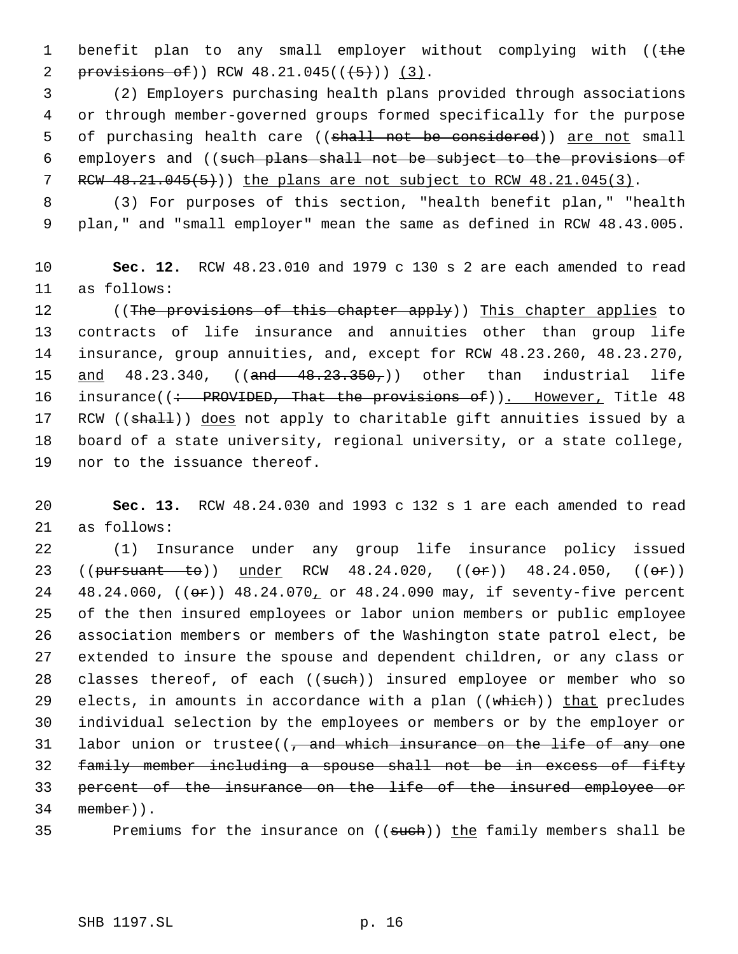1 benefit plan to any small employer without complying with ((the 2 provisions of)) RCW  $48.21.045((\frac{+}{5})) (3)$ .

 3 (2) Employers purchasing health plans provided through associations 4 or through member-governed groups formed specifically for the purpose 5 of purchasing health care ((shall not be considered)) are not small 6 employers and ((such plans shall not be subject to the provisions of 7 RCW 48.21.045(5))) the plans are not subject to RCW 48.21.045(3).

 8 (3) For purposes of this section, "health benefit plan," "health 9 plan," and "small employer" mean the same as defined in RCW 48.43.005.

10 **Sec. 12.** RCW 48.23.010 and 1979 c 130 s 2 are each amended to read 11 as follows:

12 ((The provisions of this chapter apply)) This chapter applies to 13 contracts of life insurance and annuities other than group life 14 insurance, group annuities, and, except for RCW 48.23.260, 48.23.270, 15 and 48.23.340, ((and 48.23.350,)) other than industrial life 16 insurance((: PROVIDED, That the provisions of)). However, Title 48 17 RCW ((shall)) does not apply to charitable gift annuities issued by a 18 board of a state university, regional university, or a state college, 19 nor to the issuance thereof.

20 **Sec. 13.** RCW 48.24.030 and 1993 c 132 s 1 are each amended to read 21 as follows:

 (1) Insurance under any group life insurance policy issued 23 ((pursuant to)) under RCW 48.24.020, ((or)) 48.24.050, ((or)) 24 48.24.060, (( $\Theta$ )) 48.24.070, or 48.24.090 may, if seventy-five percent of the then insured employees or labor union members or public employee association members or members of the Washington state patrol elect, be extended to insure the spouse and dependent children, or any class or 28 classes thereof, of each ((such)) insured employee or member who so 29 elects, in amounts in accordance with a plan ((which)) that precludes individual selection by the employees or members or by the employer or 31 labor union or trustee( $\sqrt{7}$  and which insurance on the life of any one family member including a spouse shall not be in excess of fifty percent of the insurance on the life of the insured employee or member)).

35 Premiums for the insurance on ((such)) the family members shall be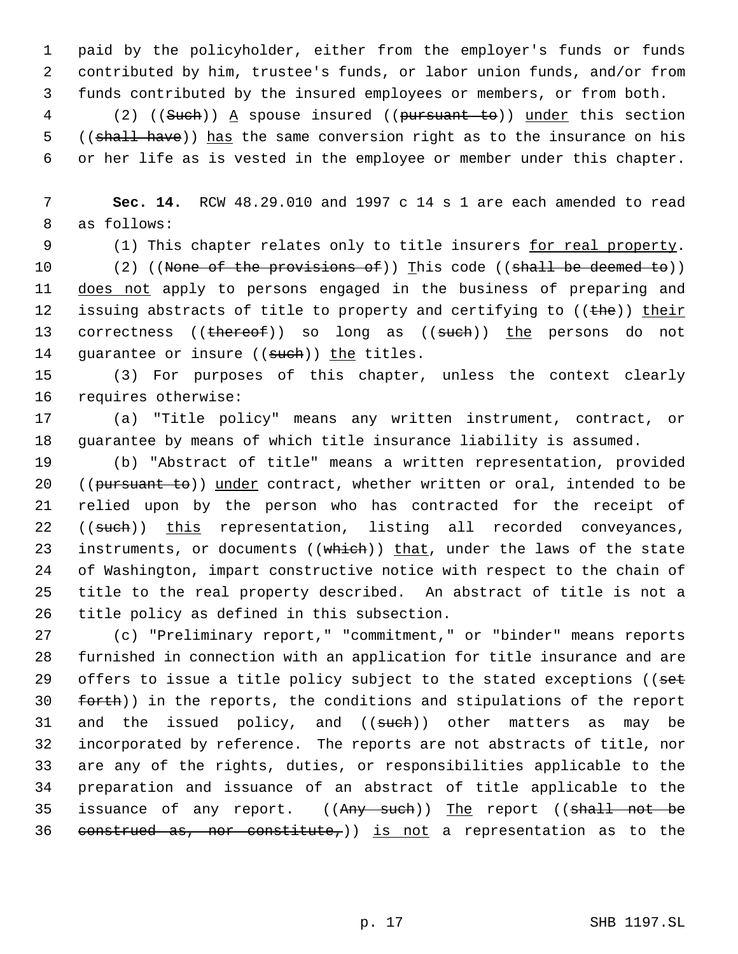1 paid by the policyholder, either from the employer's funds or funds 2 contributed by him, trustee's funds, or labor union funds, and/or from 3 funds contributed by the insured employees or members, or from both.

4 (2) ((Such)) A spouse insured ((pursuant to)) under this section 5 ((shall have)) has the same conversion right as to the insurance on his 6 or her life as is vested in the employee or member under this chapter.

 7 **Sec. 14.** RCW 48.29.010 and 1997 c 14 s 1 are each amended to read 8 as follows:

9 (1) This chapter relates only to title insurers for real property.

10 (2) ((None of the provisions of)) This code ((shall be deemed to)) 11 does not apply to persons engaged in the business of preparing and 12 issuing abstracts of title to property and certifying to ((the)) their 13 correctness ((thereof)) so long as ((such)) the persons do not 14 guarantee or insure ((such)) the titles.

15 (3) For purposes of this chapter, unless the context clearly 16 requires otherwise:

17 (a) "Title policy" means any written instrument, contract, or 18 guarantee by means of which title insurance liability is assumed.

 (b) "Abstract of title" means a written representation, provided 20 ((pursuant to)) under contract, whether written or oral, intended to be relied upon by the person who has contracted for the receipt of 22 ((such)) this representation, listing all recorded conveyances, 23 instruments, or documents ((which)) that, under the laws of the state of Washington, impart constructive notice with respect to the chain of title to the real property described. An abstract of title is not a title policy as defined in this subsection.

27 (c) "Preliminary report," "commitment," or "binder" means reports 28 furnished in connection with an application for title insurance and are 29 offers to issue a title policy subject to the stated exceptions ((set 30 forth)) in the reports, the conditions and stipulations of the report 31 and the issued policy, and ((such)) other matters as may be 32 incorporated by reference. The reports are not abstracts of title, nor 33 are any of the rights, duties, or responsibilities applicable to the 34 preparation and issuance of an abstract of title applicable to the 35 issuance of any report. ((Any such)) The report ((shall not be 36 construed as, nor constitute,)) is not a representation as to the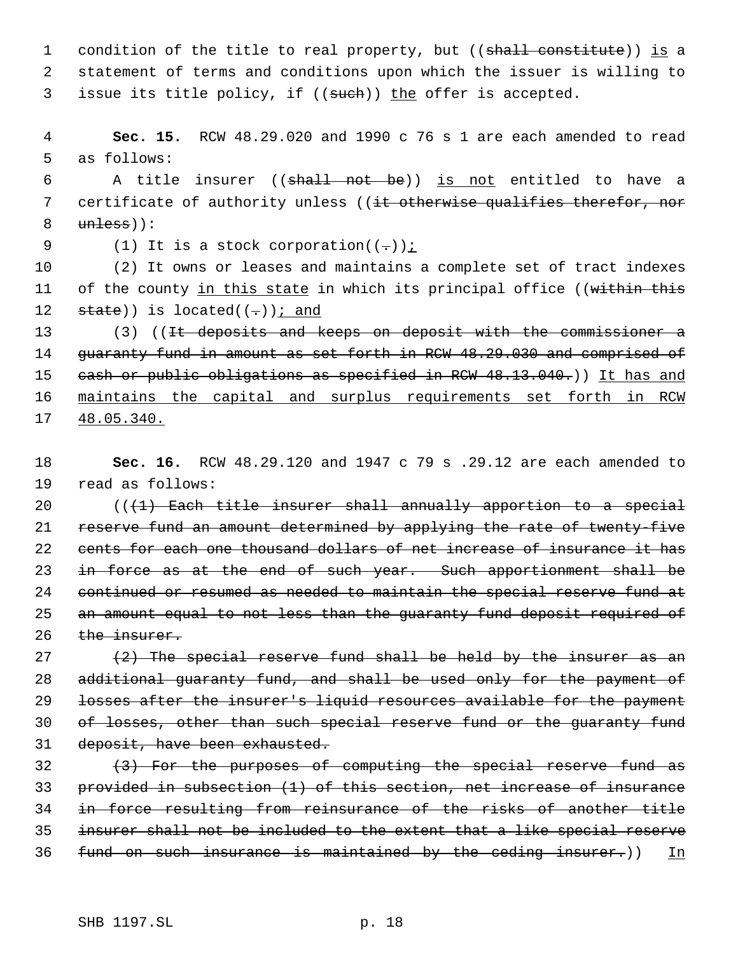1 condition of the title to real property, but ((shall constitute)) is a 2 statement of terms and conditions upon which the issuer is willing to 3 issue its title policy, if ((such)) the offer is accepted.

 4 **Sec. 15.** RCW 48.29.020 and 1990 c 76 s 1 are each amended to read 5 as follows:

6 A title insurer ((shall not be)) is not entitled to have a 7 certificate of authority unless ((it otherwise qualifies therefor, nor  $8$  unless)):

9 (1) It is a stock corporation( $(-)$ );

10 (2) It owns or leases and maintains a complete set of tract indexes 11 of the county in this state in which its principal office ((within this 12  $state)$ ) is located((-)) i and

13 (3) ((It deposits and keeps on deposit with the commissioner a 14 guaranty fund in amount as set forth in RCW 48.29.030 and comprised of 15 cash or public obligations as specified in RCW 48.13.040.)) It has and 16 maintains the capital and surplus requirements set forth in RCW 17 48.05.340.

18 **Sec. 16.** RCW 48.29.120 and 1947 c 79 s .29.12 are each amended to 19 read as follows:

20  $((1)$  Each title insurer shall annually apportion to a special 21 reserve fund an amount determined by applying the rate of twenty five 22 cents for each one thousand dollars of net increase of insurance it has 23 in force as at the end of such year. Such apportionment shall be 24 continued or resumed as needed to maintain the special reserve fund at 25 an amount equal to not less than the guaranty fund deposit required of 26 the insurer.

 $(2)$  The special reserve fund shall be held by the insurer as an additional guaranty fund, and shall be used only for the payment of 29 losses after the insurer's liquid resources available for the payment of losses, other than such special reserve fund or the guaranty fund deposit, have been exhausted.

 (3) For the purposes of computing the special reserve fund as provided in subsection (1) of this section, net increase of insurance in force resulting from reinsurance of the risks of another title insurer shall not be included to the extent that a like special reserve 36 fund on such insurance is maintained by the ceding insurer.)) In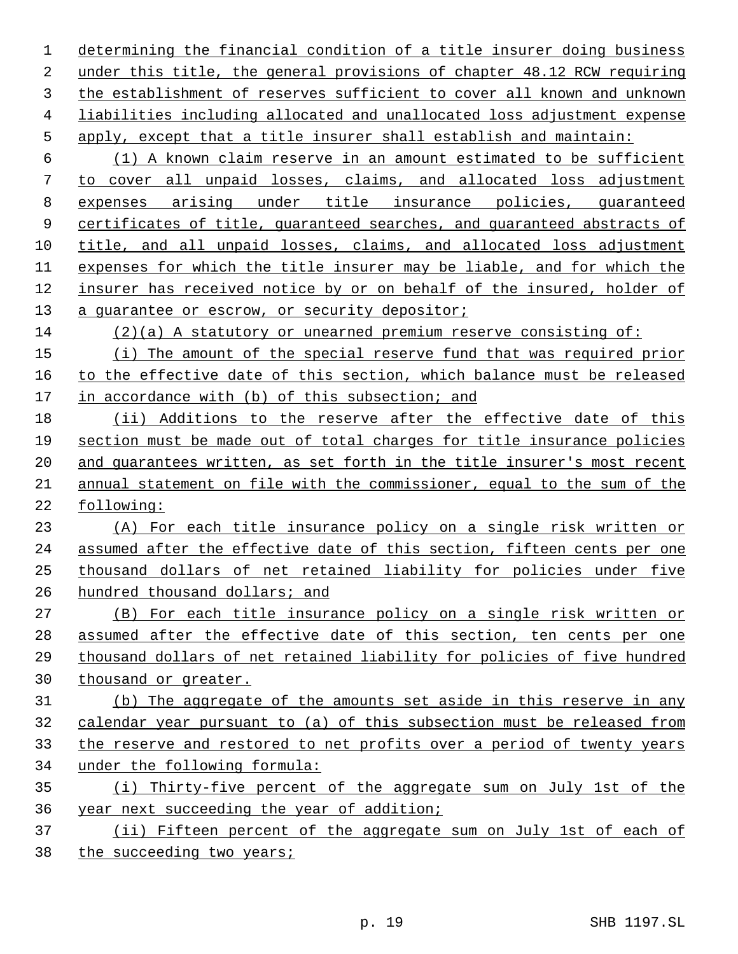determining the financial condition of a title insurer doing business under this title, the general provisions of chapter 48.12 RCW requiring the establishment of reserves sufficient to cover all known and unknown liabilities including allocated and unallocated loss adjustment expense apply, except that a title insurer shall establish and maintain:

 (1) A known claim reserve in an amount estimated to be sufficient to cover all unpaid losses, claims, and allocated loss adjustment expenses arising under title insurance policies, guaranteed certificates of title, guaranteed searches, and guaranteed abstracts of title, and all unpaid losses, claims, and allocated loss adjustment expenses for which the title insurer may be liable, and for which the insurer has received notice by or on behalf of the insured, holder of 13 a guarantee or escrow, or security depositor;

(2)(a) A statutory or unearned premium reserve consisting of:

15 (i) The amount of the special reserve fund that was required prior 16 to the effective date of this section, which balance must be released 17 in accordance with (b) of this subsection; and

 (ii) Additions to the reserve after the effective date of this section must be made out of total charges for title insurance policies and guarantees written, as set forth in the title insurer's most recent annual statement on file with the commissioner, equal to the sum of the following:

 (A) For each title insurance policy on a single risk written or assumed after the effective date of this section, fifteen cents per one thousand dollars of net retained liability for policies under five hundred thousand dollars; and

 (B) For each title insurance policy on a single risk written or assumed after the effective date of this section, ten cents per one thousand dollars of net retained liability for policies of five hundred thousand or greater.

 (b) The aggregate of the amounts set aside in this reserve in any calendar year pursuant to (a) of this subsection must be released from 33 the reserve and restored to net profits over a period of twenty years under the following formula:

 (i) Thirty-five percent of the aggregate sum on July 1st of the year next succeeding the year of addition;

 (ii) Fifteen percent of the aggregate sum on July 1st of each of the succeeding two years;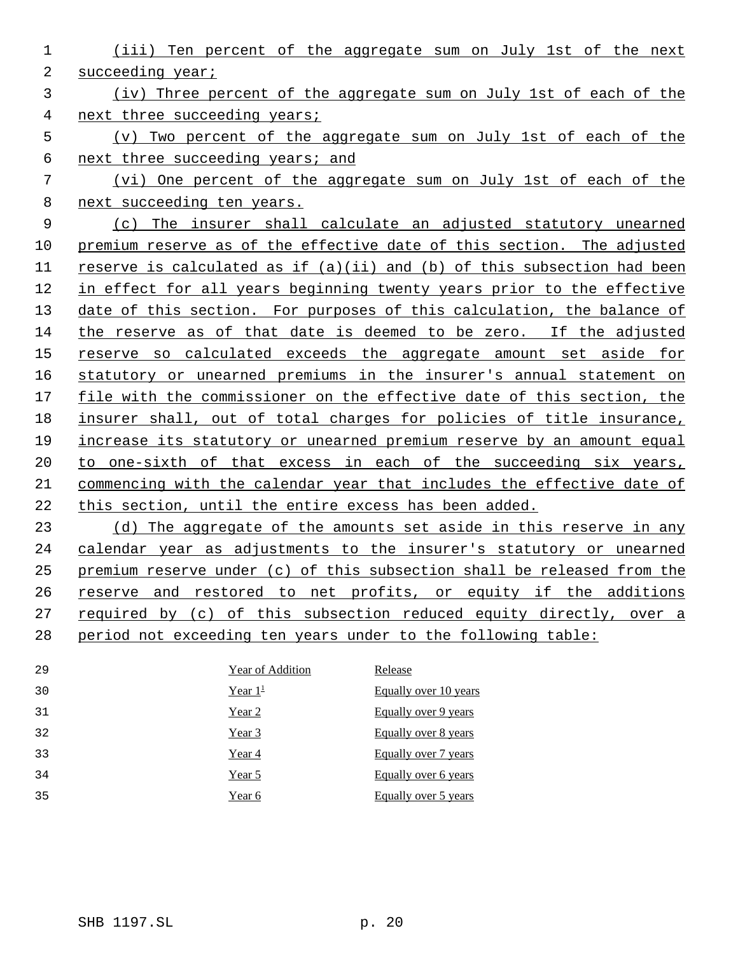- (iii) Ten percent of the aggregate sum on July 1st of the next succeeding year;
- (iv) Three percent of the aggregate sum on July 1st of each of the next three succeeding years;
- (v) Two percent of the aggregate sum on July 1st of each of the next three succeeding years; and
- (vi) One percent of the aggregate sum on July 1st of each of the next succeeding ten years.
- (c) The insurer shall calculate an adjusted statutory unearned premium reserve as of the effective date of this section. The adjusted reserve is calculated as if (a)(ii) and (b) of this subsection had been in effect for all years beginning twenty years prior to the effective 13 date of this section. For purposes of this calculation, the balance of the reserve as of that date is deemed to be zero. If the adjusted reserve so calculated exceeds the aggregate amount set aside for statutory or unearned premiums in the insurer's annual statement on file with the commissioner on the effective date of this section, the insurer shall, out of total charges for policies of title insurance, increase its statutory or unearned premium reserve by an amount equal to one-sixth of that excess in each of the succeeding six years, commencing with the calendar year that includes the effective date of this section, until the entire excess has been added.

 (d) The aggregate of the amounts set aside in this reserve in any calendar year as adjustments to the insurer's statutory or unearned premium reserve under (c) of this subsection shall be released from the reserve and restored to net profits, or equity if the additions required by (c) of this subsection reduced equity directly, over a period not exceeding ten years under to the following table:

| 29 | Year of Addition | Release               |
|----|------------------|-----------------------|
| 30 | Year $11$        | Equally over 10 years |
| 31 | Year 2           | Equally over 9 years  |
| 32 | Year 3           | Equally over 8 years  |
| 33 | Year 4           | Equally over 7 years  |
| 34 | Year 5           | Equally over 6 years  |
| 35 | Year 6           | Equally over 5 years  |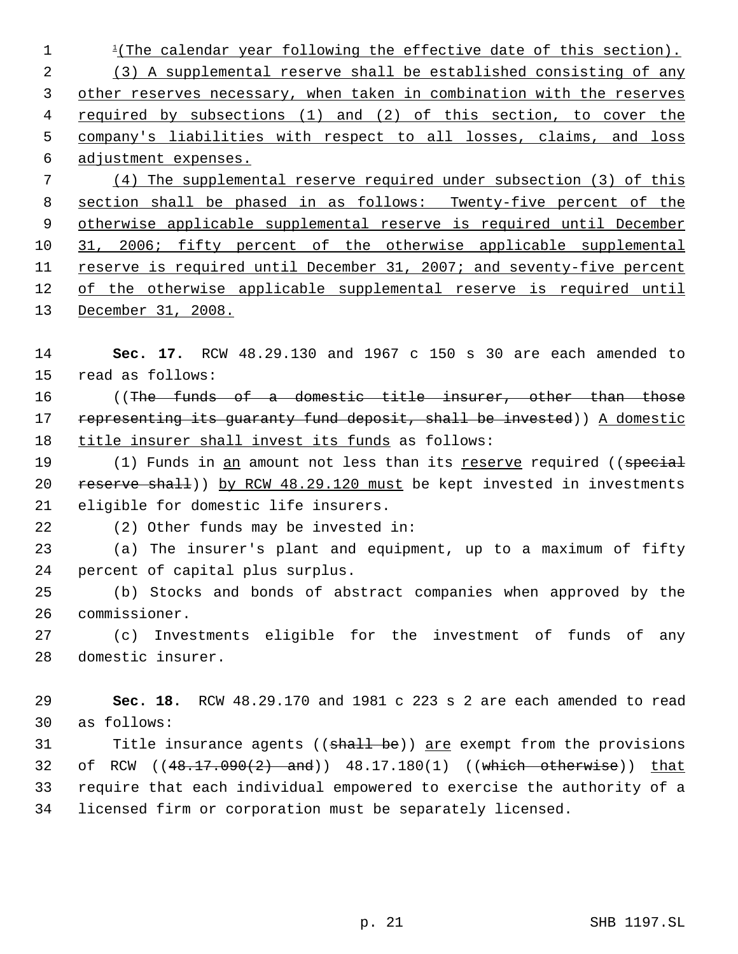1 <sup>1</sup>(The calendar year following the effective date of this section). (3) A supplemental reserve shall be established consisting of any other reserves necessary, when taken in combination with the reserves 4 required by subsections (1) and (2) of this section, to cover the 5 company's liabilities with respect to all losses, claims, and loss adjustment expenses. (4) The supplemental reserve required under subsection (3) of this section shall be phased in as follows: Twenty-five percent of the otherwise applicable supplemental reserve is required until December 10 31, 2006; fifty percent of the otherwise applicable supplemental 11 reserve is required until December 31, 2007; and seventy-five percent

 of the otherwise applicable supplemental reserve is required until December 31, 2008.

 **Sec. 17.** RCW 48.29.130 and 1967 c 150 s 30 are each amended to read as follows:

 ((The funds of a domestic title insurer, other than those 17 representing its quaranty fund deposit, shall be invested)) A domestic title insurer shall invest its funds as follows:

19 (1) Funds in an amount not less than its reserve required ((special 20 reserve shall)) by RCW 48.29.120 must be kept invested in investments eligible for domestic life insurers.

(2) Other funds may be invested in:

 (a) The insurer's plant and equipment, up to a maximum of fifty percent of capital plus surplus.

 (b) Stocks and bonds of abstract companies when approved by the commissioner.

 (c) Investments eligible for the investment of funds of any domestic insurer.

 **Sec. 18.** RCW 48.29.170 and 1981 c 223 s 2 are each amended to read as follows:

31 Title insurance agents ((shall be)) are exempt from the provisions of RCW ((48.17.090(2) and)) 48.17.180(1) ((which otherwise)) that require that each individual empowered to exercise the authority of a licensed firm or corporation must be separately licensed.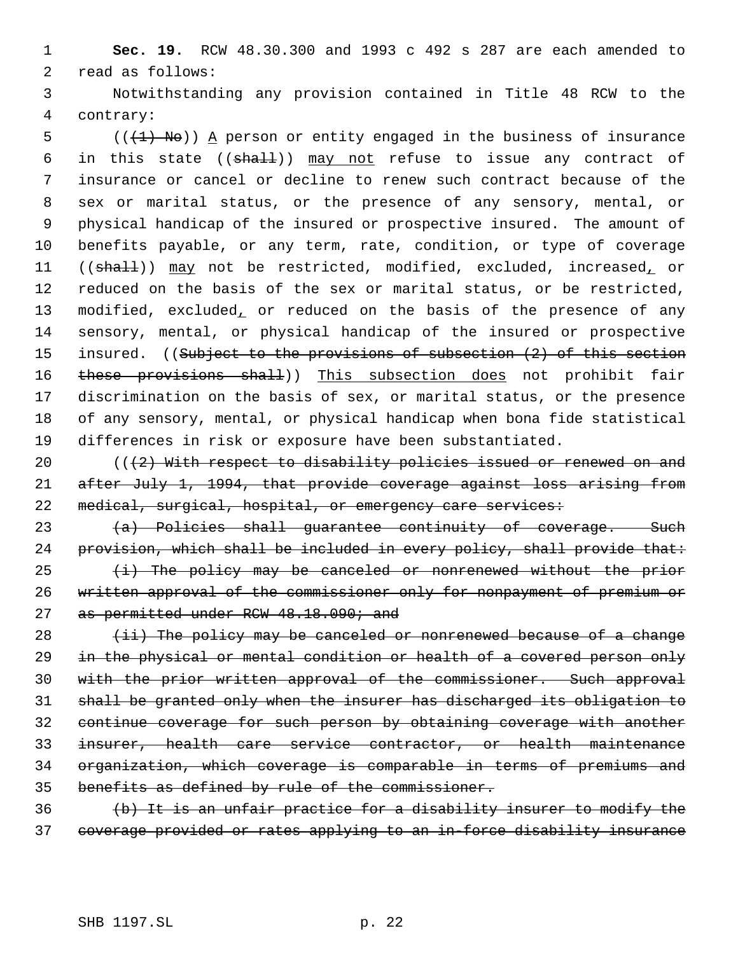**Sec. 19.** RCW 48.30.300 and 1993 c 492 s 287 are each amended to read as follows:

 Notwithstanding any provision contained in Title 48 RCW to the contrary:

 (( $\overline{(1)}$  No)) A person or entity engaged in the business of insurance 6 in this state  $((shall))$  may not refuse to issue any contract of insurance or cancel or decline to renew such contract because of the sex or marital status, or the presence of any sensory, mental, or physical handicap of the insured or prospective insured. The amount of benefits payable, or any term, rate, condition, or type of coverage 11 ((shall)) may not be restricted, modified, excluded, increased, or reduced on the basis of the sex or marital status, or be restricted, 13 modified, excluded, or reduced on the basis of the presence of any sensory, mental, or physical handicap of the insured or prospective 15 insured. ((Subject to the provisions of subsection (2) of this section 16 these provisions shall)) This subsection does not prohibit fair discrimination on the basis of sex, or marital status, or the presence of any sensory, mental, or physical handicap when bona fide statistical differences in risk or exposure have been substantiated.

 $((2)$  With respect to disability policies issued or renewed on and after July 1, 1994, that provide coverage against loss arising from 22 medical, surgical, hospital, or emergency care services:

23  $(a)$  Policies shall guarantee continuity of coverage. Such 24 provision, which shall be included in every policy, shall provide that: (i) The policy may be canceled or nonrenewed without the prior written approval of the commissioner only for nonpayment of premium or 27 as permitted under RCW 48.18.090; and

 (ii) The policy may be canceled or nonrenewed because of a change 29 in the physical or mental condition or health of a covered person only with the prior written approval of the commissioner. Such approval shall be granted only when the insurer has discharged its obligation to continue coverage for such person by obtaining coverage with another insurer, health care service contractor, or health maintenance organization, which coverage is comparable in terms of premiums and benefits as defined by rule of the commissioner.

 (b) It is an unfair practice for a disability insurer to modify the coverage provided or rates applying to an in-force disability insurance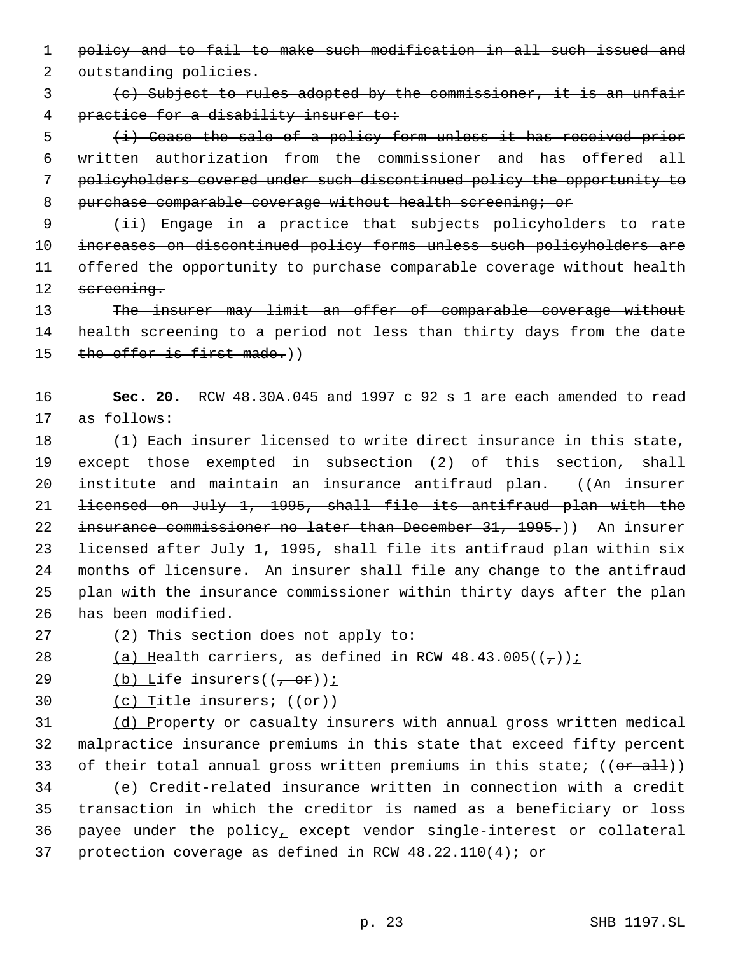policy and to fail to make such modification in all such issued and

2 outstanding policies.

 (c) Subject to rules adopted by the commissioner, it is an unfair 4 practice for a disability insurer to:

 (i) Cease the sale of a policy form unless it has received prior written authorization from the commissioner and has offered all policyholders covered under such discontinued policy the opportunity to 8 purchase comparable coverage without health screening; or

 (ii) Engage in a practice that subjects policyholders to rate increases on discontinued policy forms unless such policyholders are offered the opportunity to purchase comparable coverage without health 12 screening.

13 The insurer may limit an offer of comparable coverage without 14 health screening to a period not less than thirty days from the date 15 the offer is first made.))

 **Sec. 20.** RCW 48.30A.045 and 1997 c 92 s 1 are each amended to read as follows:

 (1) Each insurer licensed to write direct insurance in this state, except those exempted in subsection (2) of this section, shall 20 institute and maintain an insurance antifraud plan. ((An insurer licensed on July 1, 1995, shall file its antifraud plan with the insurance commissioner no later than December 31, 1995.)) An insurer licensed after July 1, 1995, shall file its antifraud plan within six months of licensure. An insurer shall file any change to the antifraud plan with the insurance commissioner within thirty days after the plan has been modified.

27 (2) This section does not apply to:

28 (a) Health carriers, as defined in RCW  $48.43.005((\tau))$ ;

29  $(b)$  Life insurers( $(-e^{\alpha}t)$ );

(c) Title insurers; ((or))

 (d) Property or casualty insurers with annual gross written medical malpractice insurance premiums in this state that exceed fifty percent 33 of their total annual gross written premiums in this state;  $((or$  all))

 (e) Credit-related insurance written in connection with a credit transaction in which the creditor is named as a beneficiary or loss payee under the policy, except vendor single-interest or collateral 37 protection coverage as defined in RCW 48.22.110(4); or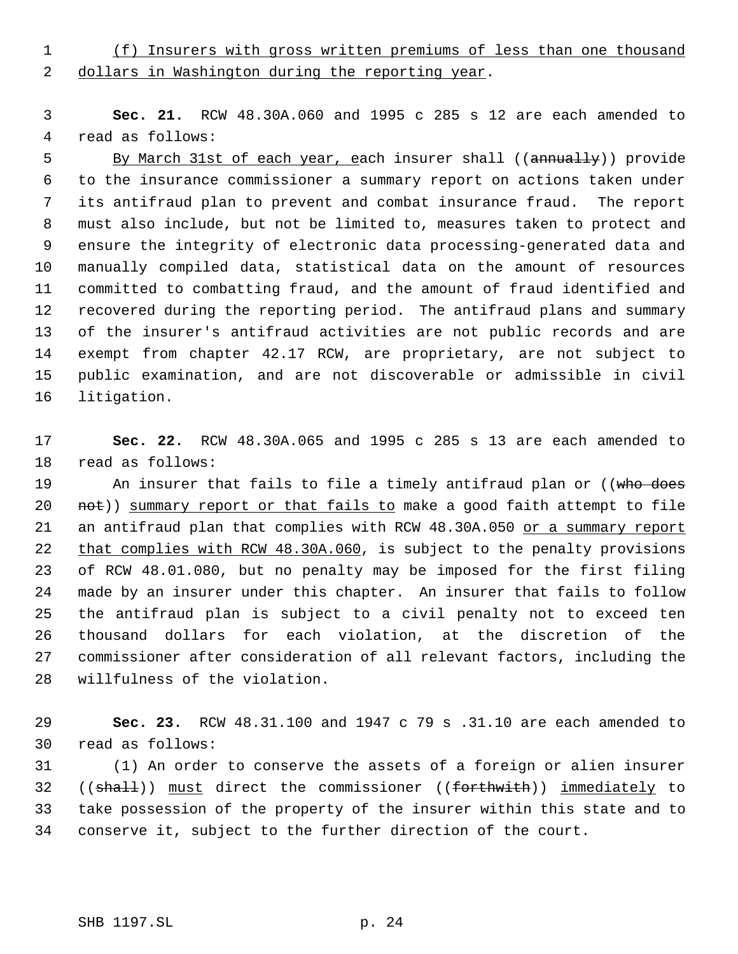(f) Insurers with gross written premiums of less than one thousand 2 dollars in Washington during the reporting year.

 **Sec. 21.** RCW 48.30A.060 and 1995 c 285 s 12 are each amended to read as follows:

5 By March 31st of each year, each insurer shall ((annually)) provide to the insurance commissioner a summary report on actions taken under its antifraud plan to prevent and combat insurance fraud. The report must also include, but not be limited to, measures taken to protect and ensure the integrity of electronic data processing-generated data and manually compiled data, statistical data on the amount of resources committed to combatting fraud, and the amount of fraud identified and recovered during the reporting period. The antifraud plans and summary of the insurer's antifraud activities are not public records and are exempt from chapter 42.17 RCW, are proprietary, are not subject to public examination, and are not discoverable or admissible in civil litigation.

 **Sec. 22.** RCW 48.30A.065 and 1995 c 285 s 13 are each amended to read as follows:

19 An insurer that fails to file a timely antifraud plan or ((who does 20 not)) summary report or that fails to make a good faith attempt to file 21 an antifraud plan that complies with RCW 48.30A.050 or a summary report 22 that complies with RCW 48.30A.060, is subject to the penalty provisions of RCW 48.01.080, but no penalty may be imposed for the first filing made by an insurer under this chapter. An insurer that fails to follow the antifraud plan is subject to a civil penalty not to exceed ten thousand dollars for each violation, at the discretion of the commissioner after consideration of all relevant factors, including the willfulness of the violation.

 **Sec. 23.** RCW 48.31.100 and 1947 c 79 s .31.10 are each amended to read as follows:

 (1) An order to conserve the assets of a foreign or alien insurer 32 ((shall)) must direct the commissioner ((forthwith)) immediately to take possession of the property of the insurer within this state and to conserve it, subject to the further direction of the court.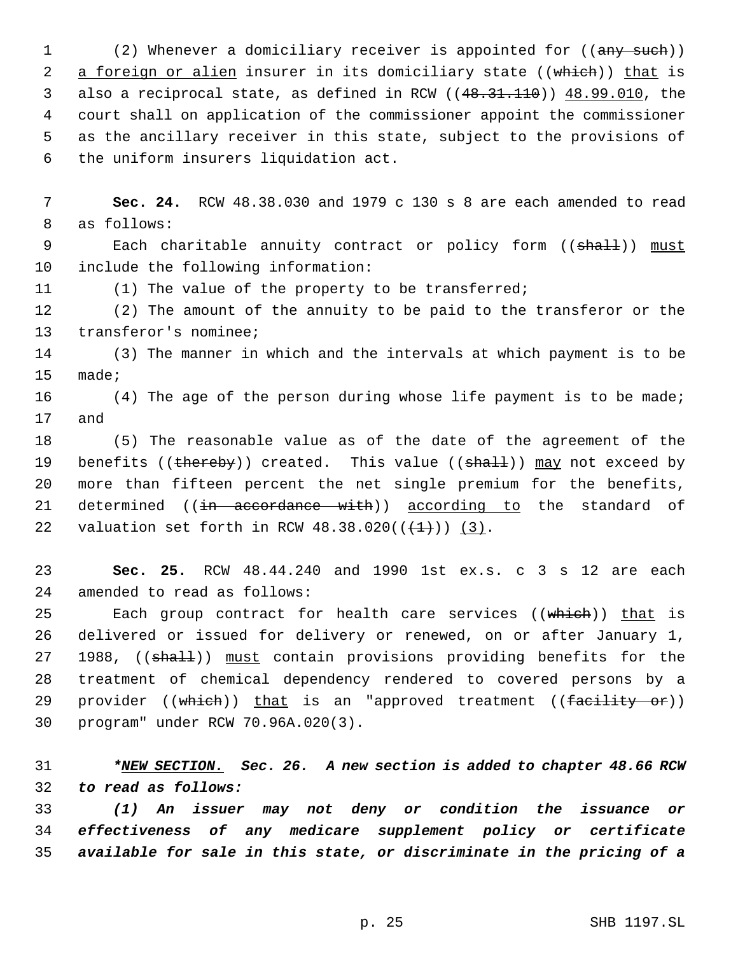1 (2) Whenever a domiciliary receiver is appointed for ((any such)) 2 a foreign or alien insurer in its domiciliary state ((which)) that is also a reciprocal state, as defined in RCW ((48.31.110)) 48.99.010, the court shall on application of the commissioner appoint the commissioner as the ancillary receiver in this state, subject to the provisions of the uniform insurers liquidation act.

 **Sec. 24.** RCW 48.38.030 and 1979 c 130 s 8 are each amended to read as follows:

9 Each charitable annuity contract or policy form ((shall)) must include the following information:

(1) The value of the property to be transferred;

 (2) The amount of the annuity to be paid to the transferor or the transferor's nominee;

 (3) The manner in which and the intervals at which payment is to be made;

16 (4) The age of the person during whose life payment is to be made; and

 (5) The reasonable value as of the date of the agreement of the 19 benefits (( $\frac{1}{2}$ ) created. This value (( $\frac{1}{3}$ ) may not exceed by more than fifteen percent the net single premium for the benefits, 21 determined ((in accordance with)) according to the standard of 22 valuation set forth in RCW  $48.38.020((\frac{1}{(1)}))$   $(3)$ .

 **Sec. 25.** RCW 48.44.240 and 1990 1st ex.s. c 3 s 12 are each amended to read as follows:

25 Each group contract for health care services ((which)) that is delivered or issued for delivery or renewed, on or after January 1, 27 1988, ((shall)) must contain provisions providing benefits for the treatment of chemical dependency rendered to covered persons by a 29 provider ((which)) that is an "approved treatment ((facility or)) program" under RCW 70.96A.020(3).

 *\*NEW SECTION. Sec. 26. A new section is added to chapter 48.66 RCW to read as follows:*

 *(1) An issuer may not deny or condition the issuance or effectiveness of any medicare supplement policy or certificate available for sale in this state, or discriminate in the pricing of a*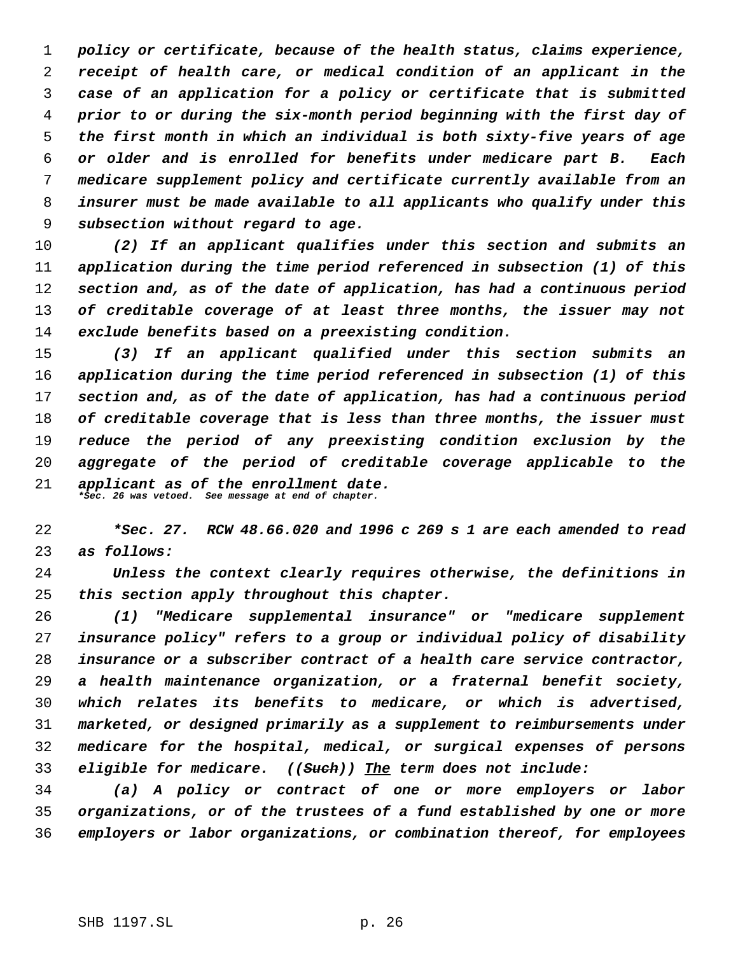*policy or certificate, because of the health status, claims experience, receipt of health care, or medical condition of an applicant in the case of an application for a policy or certificate that is submitted prior to or during the six-month period beginning with the first day of the first month in which an individual is both sixty-five years of age or older and is enrolled for benefits under medicare part B. Each medicare supplement policy and certificate currently available from an insurer must be made available to all applicants who qualify under this subsection without regard to age.*

 *(2) If an applicant qualifies under this section and submits an application during the time period referenced in subsection (1) of this section and, as of the date of application, has had a continuous period of creditable coverage of at least three months, the issuer may not exclude benefits based on a preexisting condition.*

 *(3) If an applicant qualified under this section submits an application during the time period referenced in subsection (1) of this section and, as of the date of application, has had a continuous period of creditable coverage that is less than three months, the issuer must reduce the period of any preexisting condition exclusion by the aggregate of the period of creditable coverage applicable to the applicant as of the enrollment date. \*Sec. 26 was vetoed. See message at end of chapter.*

 *\*Sec. 27. RCW 48.66.020 and 1996 c 269 s 1 are each amended to read as follows:*

 *Unless the context clearly requires otherwise, the definitions in this section apply throughout this chapter.*

 *(1) "Medicare supplemental insurance" or "medicare supplement insurance policy" refers to a group or individual policy of disability insurance or a subscriber contract of a health care service contractor, a health maintenance organization, or a fraternal benefit society, which relates its benefits to medicare, or which is advertised, marketed, or designed primarily as a supplement to reimbursements under medicare for the hospital, medical, or surgical expenses of persons eligible for medicare. ((Such)) The term does not include:*

 *(a) A policy or contract of one or more employers or labor organizations, or of the trustees of a fund established by one or more employers or labor organizations, or combination thereof, for employees*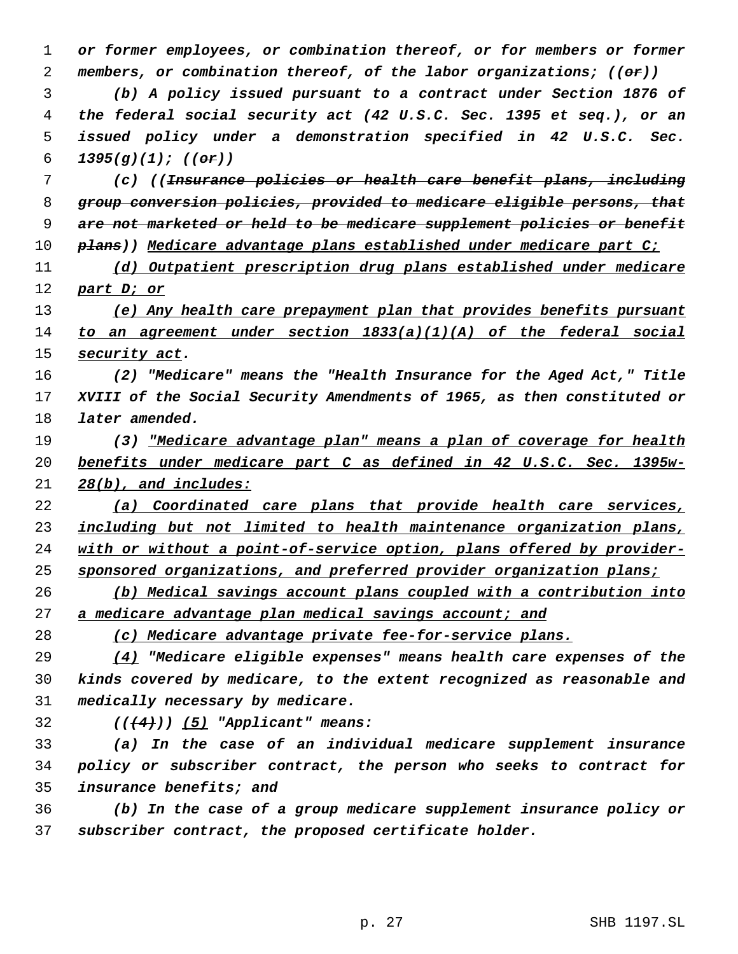*or former employees, or combination thereof, or for members or former members, or combination thereof, of the labor organizations; ((or)) (b) A policy issued pursuant to a contract under Section 1876 of the federal social security act (42 U.S.C. Sec. 1395 et seq.), or an issued policy under a demonstration specified in 42 U.S.C. Sec. 1395(g)(1); ((or)) (c) ((Insurance policies or health care benefit plans, including group conversion policies, provided to medicare eligible persons, that are not marketed or held to be medicare supplement policies or benefit plans)) Medicare advantage plans established under medicare part C; (d) Outpatient prescription drug plans established under medicare part D; or (e) Any health care prepayment plan that provides benefits pursuant to an agreement under section 1833(a)(1)(A) of the federal social security act. (2) "Medicare" means the "Health Insurance for the Aged Act," Title XVIII of the Social Security Amendments of 1965, as then constituted or later amended. (3) "Medicare advantage plan" means a plan of coverage for health benefits under medicare part C as defined in 42 U.S.C. Sec. 1395w- 28(b), and includes: (a) Coordinated care plans that provide health care services, including but not limited to health maintenance organization plans, with or without a point-of-service option, plans offered by provider- sponsored organizations, and preferred provider organization plans; (b) Medical savings account plans coupled with a contribution into a medicare advantage plan medical savings account; and (c) Medicare advantage private fee-for-service plans. (4) "Medicare eligible expenses" means health care expenses of the kinds covered by medicare, to the extent recognized as reasonable and medically necessary by medicare. (((4))) (5) "Applicant" means: (a) In the case of an individual medicare supplement insurance policy or subscriber contract, the person who seeks to contract for insurance benefits; and (b) In the case of a group medicare supplement insurance policy or subscriber contract, the proposed certificate holder.*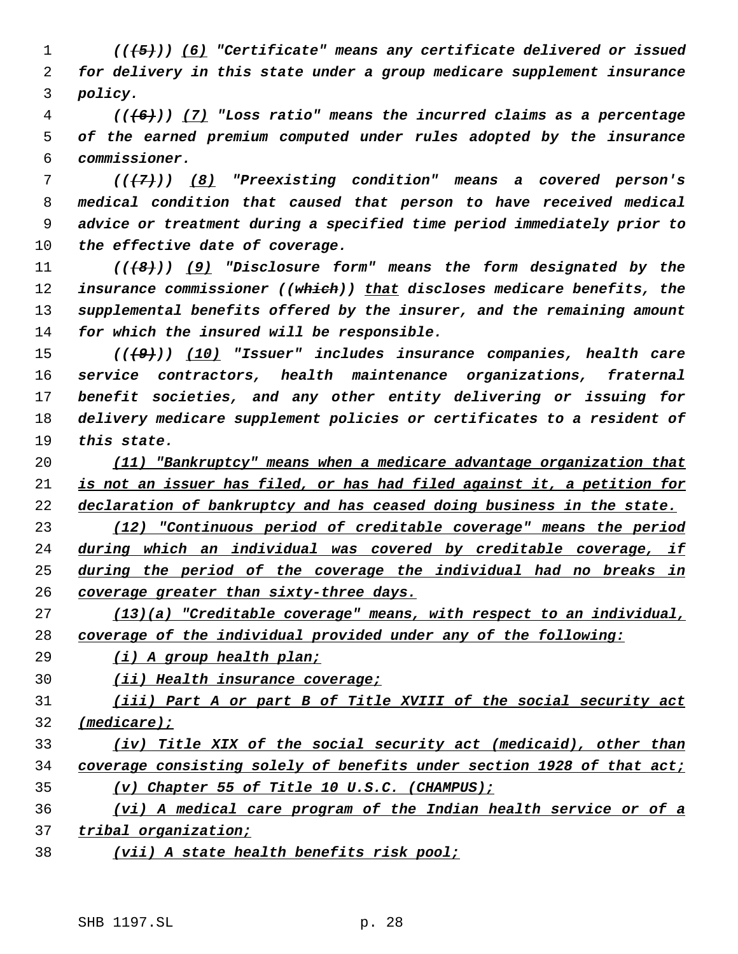*(((5))) (6) "Certificate" means any certificate delivered or issued for delivery in this state under a group medicare supplement insurance policy.*

 *(((6))) (7) "Loss ratio" means the incurred claims as a percentage of the earned premium computed under rules adopted by the insurance commissioner.*

 *(((7))) (8) "Preexisting condition" means a covered person's medical condition that caused that person to have received medical advice or treatment during a specified time period immediately prior to the effective date of coverage.*

 *(((8))) (9) "Disclosure form" means the form designated by the insurance commissioner ((which)) that discloses medicare benefits, the supplemental benefits offered by the insurer, and the remaining amount for which the insured will be responsible.*

 *(((9))) (10) "Issuer" includes insurance companies, health care service contractors, health maintenance organizations, fraternal benefit societies, and any other entity delivering or issuing for delivery medicare supplement policies or certificates to a resident of this state.*

 *(11) "Bankruptcy" means when a medicare advantage organization that is not an issuer has filed, or has had filed against it, a petition for declaration of bankruptcy and has ceased doing business in the state.*

 *(12) "Continuous period of creditable coverage" means the period during which an individual was covered by creditable coverage, if during the period of the coverage the individual had no breaks in coverage greater than sixty-three days.*

 *(13)(a) "Creditable coverage" means, with respect to an individual, coverage of the individual provided under any of the following:*

*(i) A group health plan;*

*(ii) Health insurance coverage;*

 *(iii) Part A or part B of Title XVIII of the social security act (medicare);*

 *(iv) Title XIX of the social security act (medicaid), other than coverage consisting solely of benefits under section 1928 of that act; (v) Chapter 55 of Title 10 U.S.C. (CHAMPUS);*

 *(vi) A medical care program of the Indian health service or of a tribal organization;*

*(vii) A state health benefits risk pool;*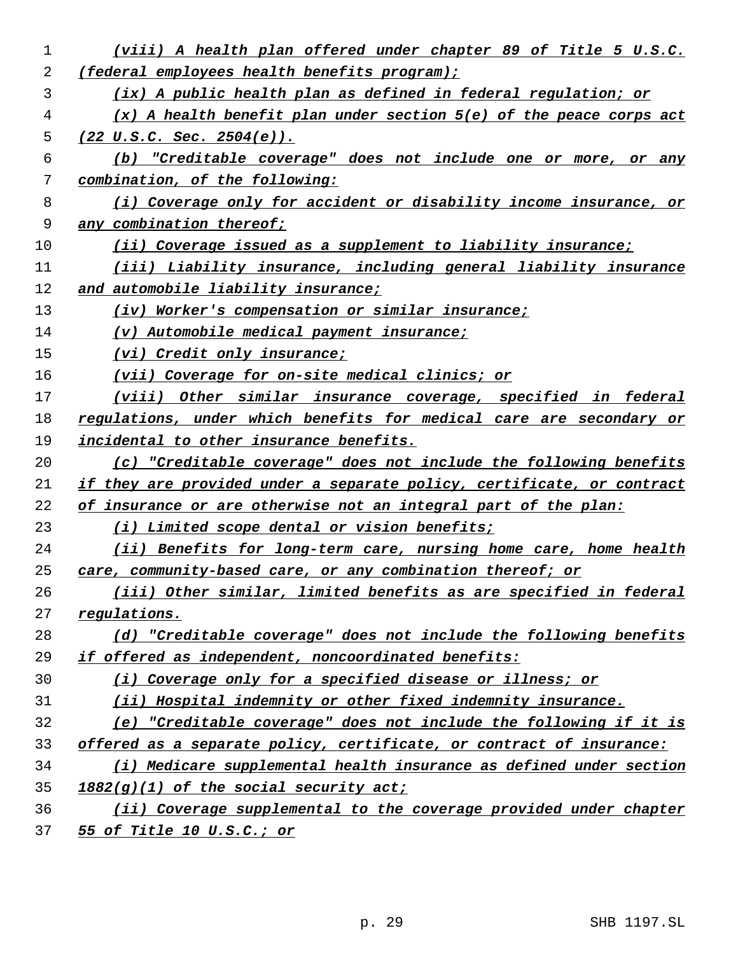| 1  | (viii) A health plan offered under chapter 89 of Title 5 U.S.C.         |
|----|-------------------------------------------------------------------------|
| 2  | (federal employees health benefits program);                            |
| 3  | (ix) A public health plan as defined in federal regulation; or          |
| 4  | $(x)$ A health benefit plan under section $5(e)$ of the peace corps act |
| 5  | $(22 \text{ U.S.C. Sec. } 2504(e))$ .                                   |
| 6  | (b) "Creditable coverage" does not include one or more, or any          |
| 7  | combination, of the following:                                          |
| 8  | (i) Coverage only for accident or disability income insurance, or       |
| 9  | any combination thereof;                                                |
| 10 | (ii) Coverage issued as a supplement to liability insurance;            |
| 11 | (iii) Liability insurance, including general liability insurance        |
| 12 | and automobile liability insurance;                                     |
| 13 | (iv) Worker's compensation or similar insurance;                        |
| 14 | $(v)$ Automobile medical payment insurance;                             |
| 15 | (vi) Credit only insurance;                                             |
| 16 | (vii) Coverage for on-site medical clinics; or                          |
| 17 | (viii) Other similar insurance coverage, specified in federal           |
| 18 | regulations, under which benefits for medical care are secondary or     |
| 19 | incidental to other insurance benefits.                                 |
| 20 | (c) "Creditable coverage" does not include the following benefits       |
| 21 | if they are provided under a separate policy, certificate, or contract  |
| 22 | of insurance or are otherwise not an integral part of the plan:         |
| 23 | (i) Limited scope dental or vision benefits;                            |
| 24 | (ii) Benefits for long-term care, nursing home care, home health        |
| 25 | care, community-based care, or any combination thereof; or              |
| 26 | (iii) Other similar, limited benefits as are specified in federal       |
| 27 | regulations.                                                            |
| 28 | (d) "Creditable coverage" does not include the following benefits       |
| 29 | if offered as independent, noncoordinated benefits:                     |
| 30 | (i) Coverage only for a specified disease or illness; or                |
| 31 | (ii) Hospital indemnity or other fixed indemnity insurance.             |
| 32 | (e) "Creditable coverage" does not include the following if it is       |
| 33 | offered as a separate policy, certificate, or contract of insurance:    |
| 34 | (i) Medicare supplemental health insurance as defined under section     |
| 35 | $1882(g)(1)$ of the social security act;                                |
| 36 | (ii) Coverage supplemental to the coverage provided under chapter       |
| 37 | <u>55 of Title 10 U.S.C.; or</u>                                        |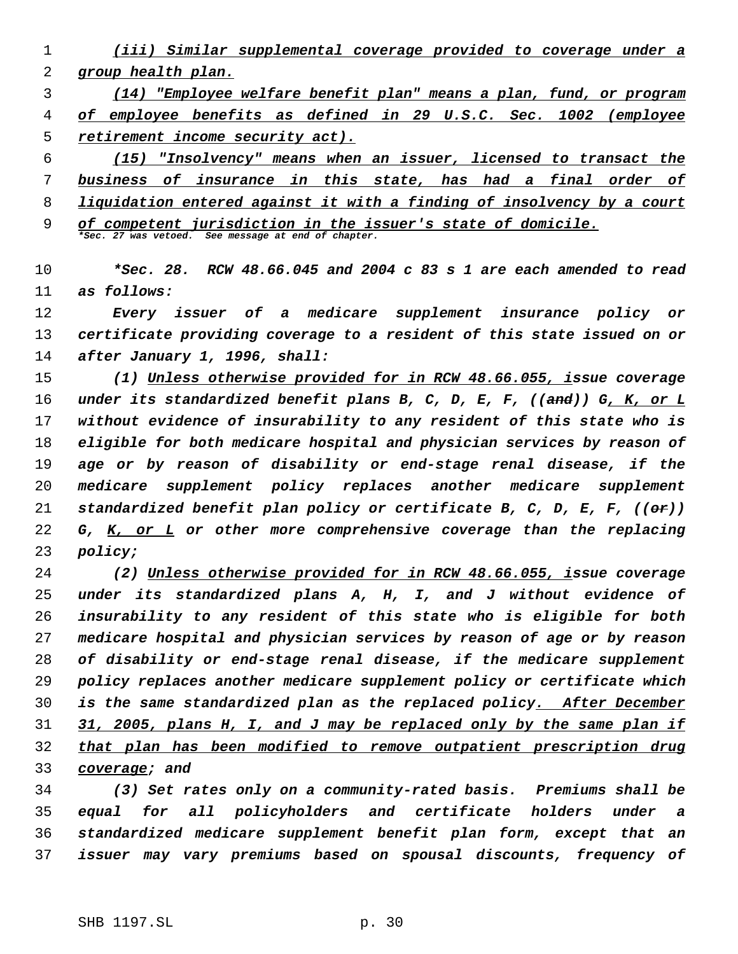*(iii) Similar supplemental coverage provided to coverage under a group health plan.*

 *(14) "Employee welfare benefit plan" means a plan, fund, or program of employee benefits as defined in 29 U.S.C. Sec. 1002 (employee retirement income security act).*

 *(15) "Insolvency" means when an issuer, licensed to transact the business of insurance in this state, has had a final order of liquidation entered against it with a finding of insolvency by a court of competent jurisdiction in the issuer's state of domicile. \*Sec. 27 was vetoed. See message at end of chapter.*

 *\*Sec. 28. RCW 48.66.045 and 2004 c 83 s 1 are each amended to read as follows:*

 *Every issuer of a medicare supplement insurance policy or certificate providing coverage to a resident of this state issued on or after January 1, 1996, shall:*

 *(1) Unless otherwise provided for in RCW 48.66.055, issue coverage under its standardized benefit plans B, C, D, E, F, ((and)) G, K, or L without evidence of insurability to any resident of this state who is eligible for both medicare hospital and physician services by reason of age or by reason of disability or end-stage renal disease, if the medicare supplement policy replaces another medicare supplement standardized benefit plan policy or certificate B, C, D, E, F, ((or)) G, K, or L or other more comprehensive coverage than the replacing policy;*

 *(2) Unless otherwise provided for in RCW 48.66.055, issue coverage under its standardized plans A, H, I, and J without evidence of insurability to any resident of this state who is eligible for both medicare hospital and physician services by reason of age or by reason of disability or end-stage renal disease, if the medicare supplement policy replaces another medicare supplement policy or certificate which is the same standardized plan as the replaced policy. After December 31, 2005, plans H, I, and J may be replaced only by the same plan if that plan has been modified to remove outpatient prescription drug coverage; and*

 *(3) Set rates only on a community-rated basis. Premiums shall be equal for all policyholders and certificate holders under a standardized medicare supplement benefit plan form, except that an issuer may vary premiums based on spousal discounts, frequency of*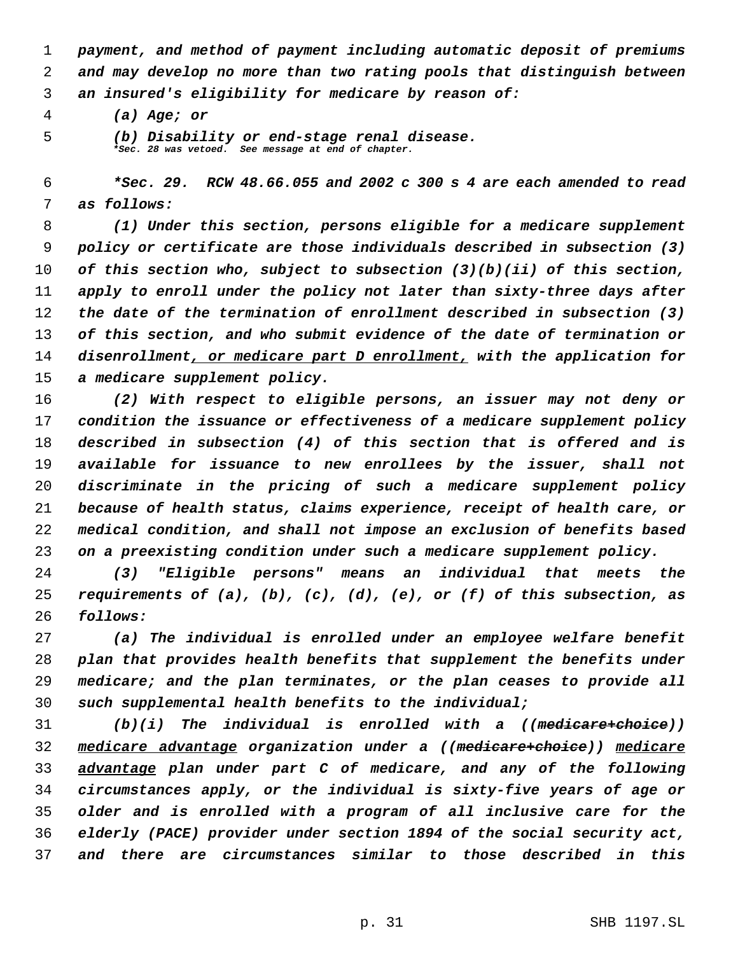*payment, and method of payment including automatic deposit of premiums and may develop no more than two rating pools that distinguish between an insured's eligibility for medicare by reason of:*

*(a) Age; or*

 *(b) Disability or end-stage renal disease. \*Sec. 28 was vetoed. See message at end of chapter.*

 *\*Sec. 29. RCW 48.66.055 and 2002 c 300 s 4 are each amended to read as follows:*

 *(1) Under this section, persons eligible for a medicare supplement policy or certificate are those individuals described in subsection (3) of this section who, subject to subsection (3)(b)(ii) of this section, apply to enroll under the policy not later than sixty-three days after the date of the termination of enrollment described in subsection (3) of this section, and who submit evidence of the date of termination or disenrollment, or medicare part D enrollment, with the application for a medicare supplement policy.*

 *(2) With respect to eligible persons, an issuer may not deny or condition the issuance or effectiveness of a medicare supplement policy described in subsection (4) of this section that is offered and is available for issuance to new enrollees by the issuer, shall not discriminate in the pricing of such a medicare supplement policy because of health status, claims experience, receipt of health care, or medical condition, and shall not impose an exclusion of benefits based on a preexisting condition under such a medicare supplement policy.*

 *(3) "Eligible persons" means an individual that meets the requirements of (a), (b), (c), (d), (e), or (f) of this subsection, as follows:*

 *(a) The individual is enrolled under an employee welfare benefit plan that provides health benefits that supplement the benefits under medicare; and the plan terminates, or the plan ceases to provide all such supplemental health benefits to the individual;*

 *(b)(i) The individual is enrolled with a ((medicare+choice)) medicare advantage organization under a ((medicare+choice)) medicare advantage plan under part C of medicare, and any of the following circumstances apply, or the individual is sixty-five years of age or older and is enrolled with a program of all inclusive care for the elderly (PACE) provider under section 1894 of the social security act, and there are circumstances similar to those described in this*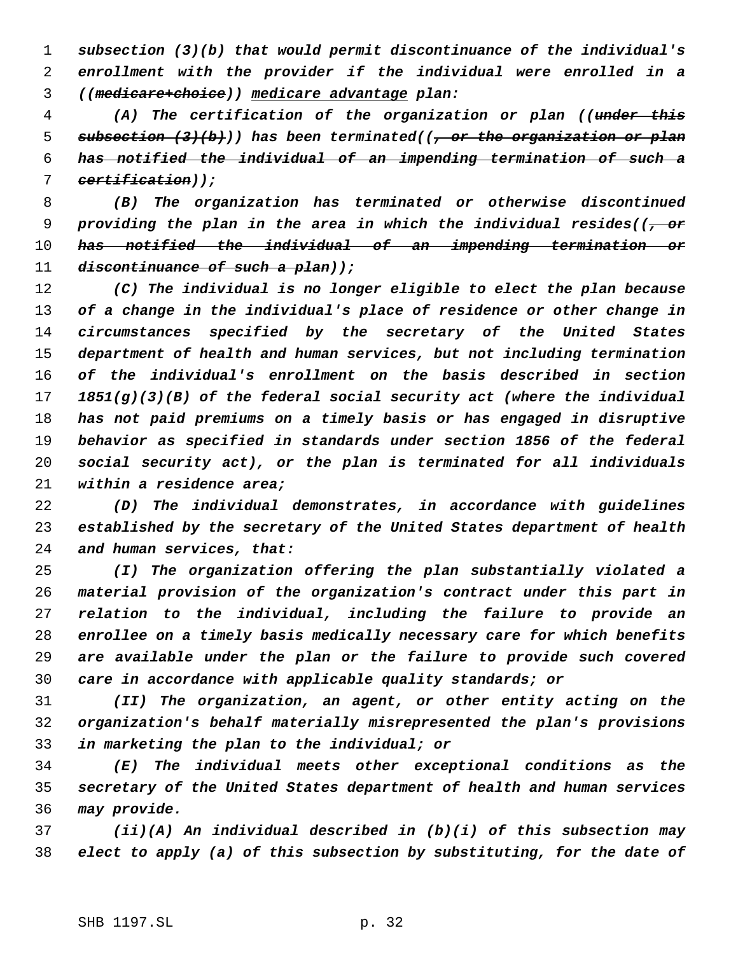*subsection (3)(b) that would permit discontinuance of the individual's enrollment with the provider if the individual were enrolled in a ((medicare+choice)) medicare advantage plan:*

 *(A) The certification of the organization or plan ((under this subsection (3)(b))) has been terminated((, or the organization or plan has notified the individual of an impending termination of such a certification));*

 *(B) The organization has terminated or otherwise discontinued providing the plan in the area in which the individual resides((, or has notified the individual of an impending termination or discontinuance of such a plan));*

 *(C) The individual is no longer eligible to elect the plan because of a change in the individual's place of residence or other change in circumstances specified by the secretary of the United States department of health and human services, but not including termination of the individual's enrollment on the basis described in section 1851(g)(3)(B) of the federal social security act (where the individual has not paid premiums on a timely basis or has engaged in disruptive behavior as specified in standards under section 1856 of the federal social security act), or the plan is terminated for all individuals within a residence area;*

 *(D) The individual demonstrates, in accordance with guidelines established by the secretary of the United States department of health and human services, that:*

 *(I) The organization offering the plan substantially violated a material provision of the organization's contract under this part in relation to the individual, including the failure to provide an enrollee on a timely basis medically necessary care for which benefits are available under the plan or the failure to provide such covered care in accordance with applicable quality standards; or*

 *(II) The organization, an agent, or other entity acting on the organization's behalf materially misrepresented the plan's provisions in marketing the plan to the individual; or*

 *(E) The individual meets other exceptional conditions as the secretary of the United States department of health and human services may provide.*

 *(ii)(A) An individual described in (b)(i) of this subsection may elect to apply (a) of this subsection by substituting, for the date of*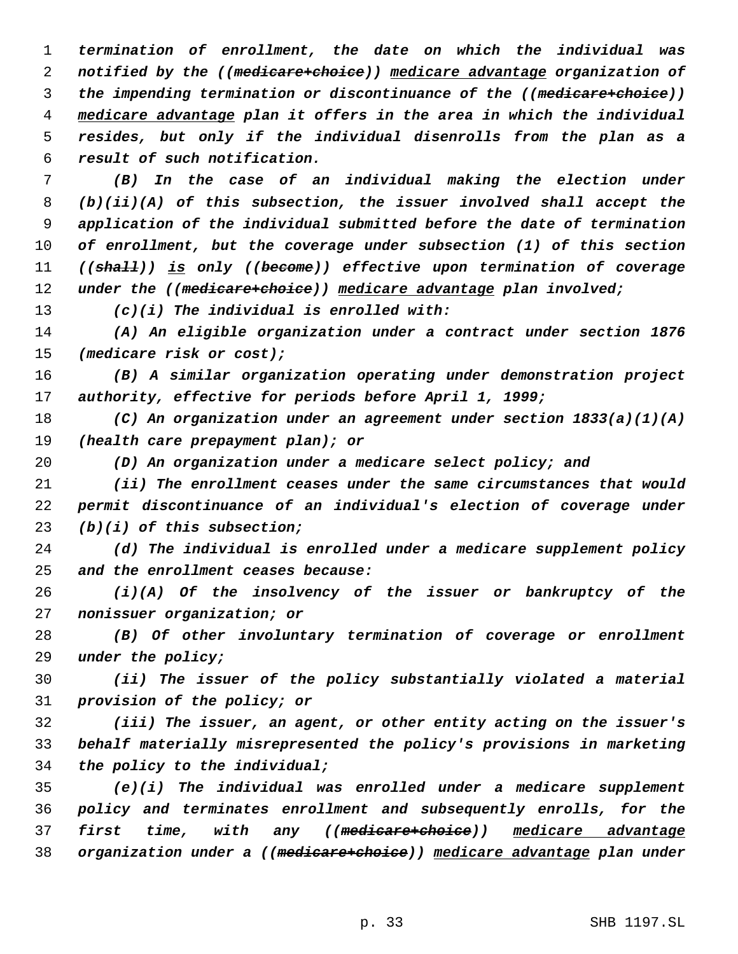*termination of enrollment, the date on which the individual was notified by the ((medicare+choice)) medicare advantage organization of the impending termination or discontinuance of the ((medicare+choice)) medicare advantage plan it offers in the area in which the individual resides, but only if the individual disenrolls from the plan as a result of such notification.*

 *(B) In the case of an individual making the election under (b)(ii)(A) of this subsection, the issuer involved shall accept the application of the individual submitted before the date of termination of enrollment, but the coverage under subsection (1) of this section ((shall)) is only ((become)) effective upon termination of coverage under the ((medicare+choice)) medicare advantage plan involved;*

*(c)(i) The individual is enrolled with:*

 *(A) An eligible organization under a contract under section 1876 (medicare risk or cost);*

 *(B) A similar organization operating under demonstration project authority, effective for periods before April 1, 1999;*

 *(C) An organization under an agreement under section 1833(a)(1)(A) (health care prepayment plan); or*

*(D) An organization under a medicare select policy; and*

 *(ii) The enrollment ceases under the same circumstances that would permit discontinuance of an individual's election of coverage under (b)(i) of this subsection;*

 *(d) The individual is enrolled under a medicare supplement policy and the enrollment ceases because:*

 *(i)(A) Of the insolvency of the issuer or bankruptcy of the nonissuer organization; or*

 *(B) Of other involuntary termination of coverage or enrollment under the policy;*

 *(ii) The issuer of the policy substantially violated a material provision of the policy; or*

 *(iii) The issuer, an agent, or other entity acting on the issuer's behalf materially misrepresented the policy's provisions in marketing the policy to the individual;*

 *(e)(i) The individual was enrolled under a medicare supplement policy and terminates enrollment and subsequently enrolls, for the first time, with any ((medicare+choice)) medicare advantage organization under a ((medicare+choice)) medicare advantage plan under*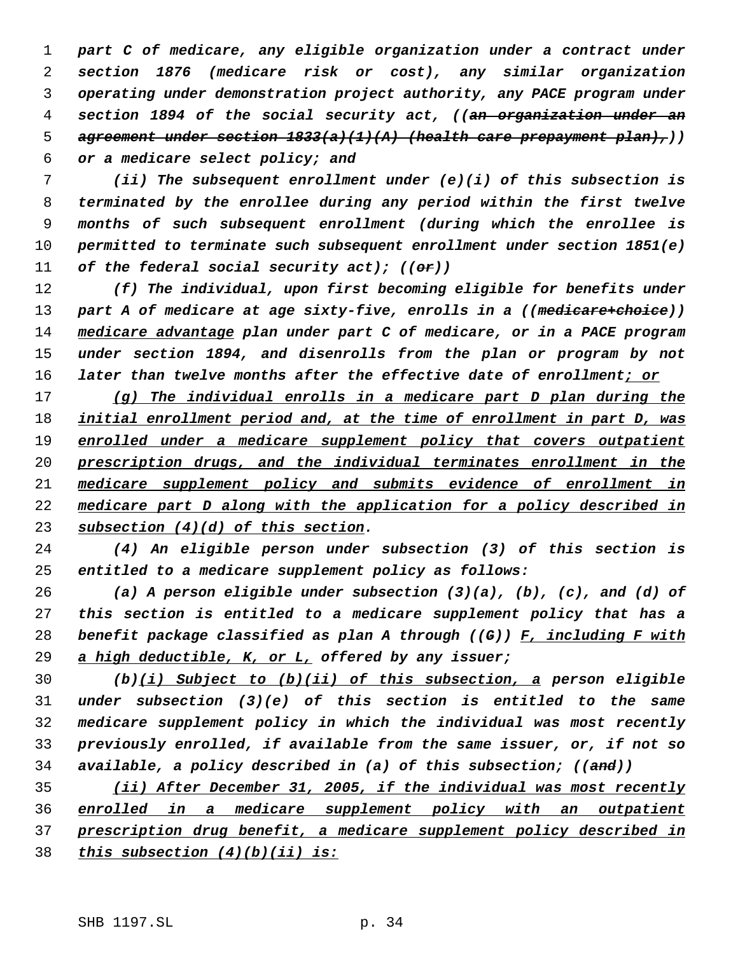*part C of medicare, any eligible organization under a contract under section 1876 (medicare risk or cost), any similar organization operating under demonstration project authority, any PACE program under section 1894 of the social security act, ((an organization under an agreement under section 1833(a)(1)(A) (health care prepayment plan),)) or a medicare select policy; and*

 *(ii) The subsequent enrollment under (e)(i) of this subsection is terminated by the enrollee during any period within the first twelve months of such subsequent enrollment (during which the enrollee is permitted to terminate such subsequent enrollment under section 1851(e) of the federal social security act); ((or))*

 *(f) The individual, upon first becoming eligible for benefits under part A of medicare at age sixty-five, enrolls in a ((medicare+choice)) medicare advantage plan under part C of medicare, or in a PACE program under section 1894, and disenrolls from the plan or program by not later than twelve months after the effective date of enrollment; or*

 *(g) The individual enrolls in a medicare part D plan during the initial enrollment period and, at the time of enrollment in part D, was enrolled under a medicare supplement policy that covers outpatient prescription drugs, and the individual terminates enrollment in the medicare supplement policy and submits evidence of enrollment in medicare part D along with the application for a policy described in subsection (4)(d) of this section.*

 *(4) An eligible person under subsection (3) of this section is entitled to a medicare supplement policy as follows:*

 *(a) A person eligible under subsection (3)(a), (b), (c), and (d) of this section is entitled to a medicare supplement policy that has a benefit package classified as plan A through ((G)) F, including F with a high deductible, K, or L, offered by any issuer;*

 *(b)(i) Subject to (b)(ii) of this subsection, a person eligible under subsection (3)(e) of this section is entitled to the same medicare supplement policy in which the individual was most recently previously enrolled, if available from the same issuer, or, if not so available, a policy described in (a) of this subsection; ((and))*

 *(ii) After December 31, 2005, if the individual was most recently enrolled in a medicare supplement policy with an outpatient prescription drug benefit, a medicare supplement policy described in this subsection (4)(b)(ii) is:*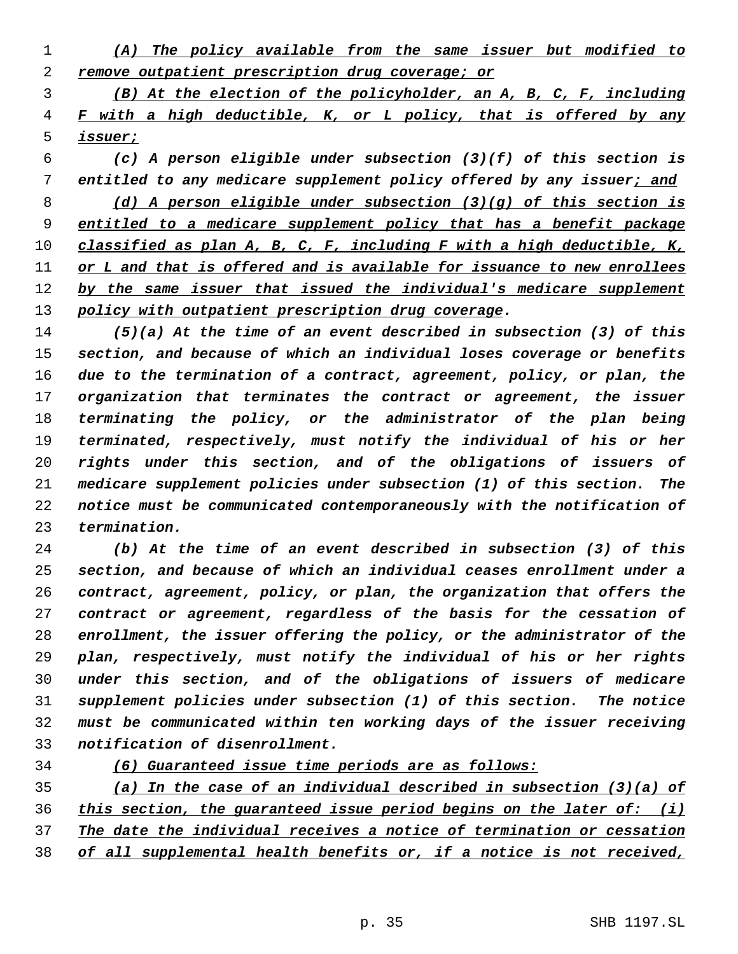*(A) The policy available from the same issuer but modified to remove outpatient prescription drug coverage; or*

 *(B) At the election of the policyholder, an A, B, C, F, including F with a high deductible, K, or L policy, that is offered by any issuer;*

 *(c) A person eligible under subsection (3)(f) of this section is entitled to any medicare supplement policy offered by any issuer; and (d) A person eligible under subsection (3)(g) of this section is entitled to a medicare supplement policy that has a benefit package classified as plan A, B, C, F, including F with a high deductible, K, or L and that is offered and is available for issuance to new enrollees by the same issuer that issued the individual's medicare supplement policy with outpatient prescription drug coverage.*

 *(5)(a) At the time of an event described in subsection (3) of this section, and because of which an individual loses coverage or benefits due to the termination of a contract, agreement, policy, or plan, the organization that terminates the contract or agreement, the issuer terminating the policy, or the administrator of the plan being terminated, respectively, must notify the individual of his or her rights under this section, and of the obligations of issuers of medicare supplement policies under subsection (1) of this section. The notice must be communicated contemporaneously with the notification of termination.*

 *(b) At the time of an event described in subsection (3) of this section, and because of which an individual ceases enrollment under a contract, agreement, policy, or plan, the organization that offers the contract or agreement, regardless of the basis for the cessation of enrollment, the issuer offering the policy, or the administrator of the plan, respectively, must notify the individual of his or her rights under this section, and of the obligations of issuers of medicare supplement policies under subsection (1) of this section. The notice must be communicated within ten working days of the issuer receiving notification of disenrollment.*

## *(6) Guaranteed issue time periods are as follows:*

 *(a) In the case of an individual described in subsection (3)(a) of this section, the guaranteed issue period begins on the later of: (i) The date the individual receives a notice of termination or cessation of all supplemental health benefits or, if a notice is not received,*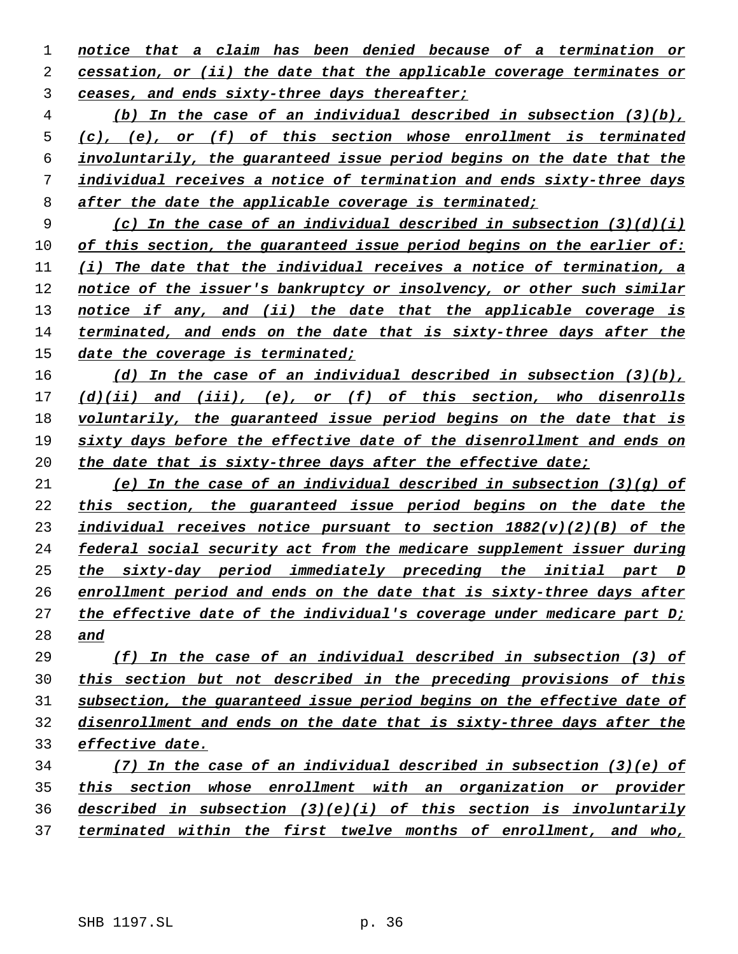*notice that a claim has been denied because of a termination or cessation, or (ii) the date that the applicable coverage terminates or ceases, and ends sixty-three days thereafter;*

 *(b) In the case of an individual described in subsection (3)(b), (c), (e), or (f) of this section whose enrollment is terminated involuntarily, the guaranteed issue period begins on the date that the individual receives a notice of termination and ends sixty-three days after the date the applicable coverage is terminated;*

 *(c) In the case of an individual described in subsection (3)(d)(i) of this section, the guaranteed issue period begins on the earlier of: (i) The date that the individual receives a notice of termination, a notice of the issuer's bankruptcy or insolvency, or other such similar notice if any, and (ii) the date that the applicable coverage is terminated, and ends on the date that is sixty-three days after the date the coverage is terminated;*

 *(d) In the case of an individual described in subsection (3)(b), (d)(ii) and (iii), (e), or (f) of this section, who disenrolls voluntarily, the guaranteed issue period begins on the date that is sixty days before the effective date of the disenrollment and ends on the date that is sixty-three days after the effective date;*

 *(e) In the case of an individual described in subsection (3)(g) of this section, the guaranteed issue period begins on the date the individual receives notice pursuant to section 1882(v)(2)(B) of the federal social security act from the medicare supplement issuer during the sixty-day period immediately preceding the initial part D enrollment period and ends on the date that is sixty-three days after the effective date of the individual's coverage under medicare part D; and*

 *(f) In the case of an individual described in subsection (3) of this section but not described in the preceding provisions of this subsection, the guaranteed issue period begins on the effective date of disenrollment and ends on the date that is sixty-three days after the effective date.*

 *(7) In the case of an individual described in subsection (3)(e) of this section whose enrollment with an organization or provider described in subsection (3)(e)(i) of this section is involuntarily terminated within the first twelve months of enrollment, and who,*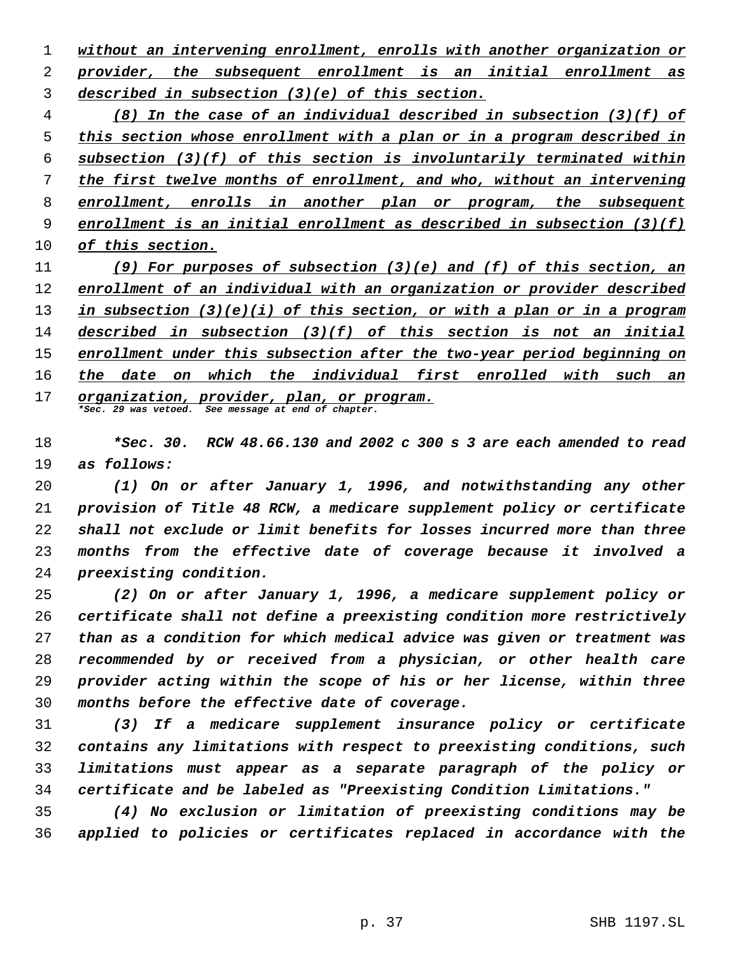*without an intervening enrollment, enrolls with another organization or provider, the subsequent enrollment is an initial enrollment as described in subsection (3)(e) of this section.*

 *(8) In the case of an individual described in subsection (3)(f) of this section whose enrollment with a plan or in a program described in subsection (3)(f) of this section is involuntarily terminated within the first twelve months of enrollment, and who, without an intervening enrollment, enrolls in another plan or program, the subsequent enrollment is an initial enrollment as described in subsection (3)(f) of this section.*

 *(9) For purposes of subsection (3)(e) and (f) of this section, an enrollment of an individual with an organization or provider described in subsection (3)(e)(i) of this section, or with a plan or in a program described in subsection (3)(f) of this section is not an initial enrollment under this subsection after the two-year period beginning on the date on which the individual first enrolled with such an organization, provider, plan, or program. \*Sec. 29 was vetoed. See message at end of chapter.*

 *\*Sec. 30. RCW 48.66.130 and 2002 c 300 s 3 are each amended to read as follows:*

 *(1) On or after January 1, 1996, and notwithstanding any other provision of Title 48 RCW, a medicare supplement policy or certificate shall not exclude or limit benefits for losses incurred more than three months from the effective date of coverage because it involved a preexisting condition.*

 *(2) On or after January 1, 1996, a medicare supplement policy or certificate shall not define a preexisting condition more restrictively than as a condition for which medical advice was given or treatment was recommended by or received from a physician, or other health care provider acting within the scope of his or her license, within three months before the effective date of coverage.*

 *(3) If a medicare supplement insurance policy or certificate contains any limitations with respect to preexisting conditions, such limitations must appear as a separate paragraph of the policy or certificate and be labeled as "Preexisting Condition Limitations."*

 *(4) No exclusion or limitation of preexisting conditions may be applied to policies or certificates replaced in accordance with the*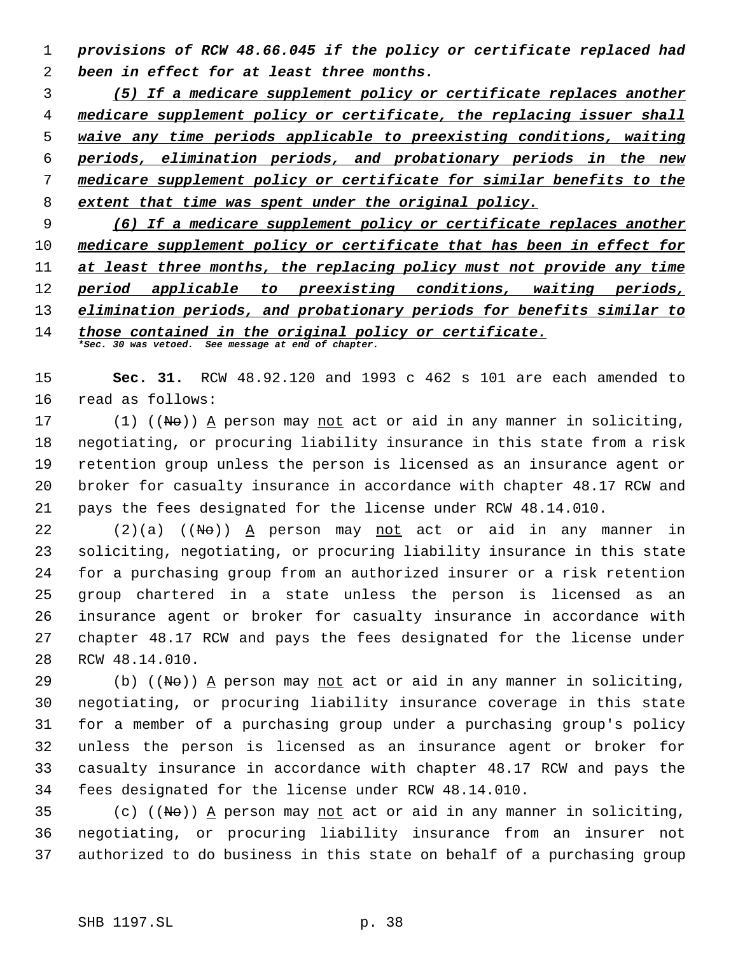*provisions of RCW 48.66.045 if the policy or certificate replaced had been in effect for at least three months.*

 *(5) If a medicare supplement policy or certificate replaces another medicare supplement policy or certificate, the replacing issuer shall waive any time periods applicable to preexisting conditions, waiting periods, elimination periods, and probationary periods in the new medicare supplement policy or certificate for similar benefits to the extent that time was spent under the original policy.*

 *(6) If a medicare supplement policy or certificate replaces another medicare supplement policy or certificate that has been in effect for at least three months, the replacing policy must not provide any time period applicable to preexisting conditions, waiting periods, elimination periods, and probationary periods for benefits similar to those contained in the original policy or certificate. \*Sec. 30 was vetoed. See message at end of chapter.*

 **Sec. 31.** RCW 48.92.120 and 1993 c 462 s 101 are each amended to read as follows:

17 (1) ( $(N\Theta)$ ) A person may not act or aid in any manner in soliciting, negotiating, or procuring liability insurance in this state from a risk retention group unless the person is licensed as an insurance agent or broker for casualty insurance in accordance with chapter 48.17 RCW and pays the fees designated for the license under RCW 48.14.010.

 (2)(a) ((No)) A person may not act or aid in any manner in soliciting, negotiating, or procuring liability insurance in this state for a purchasing group from an authorized insurer or a risk retention group chartered in a state unless the person is licensed as an insurance agent or broker for casualty insurance in accordance with chapter 48.17 RCW and pays the fees designated for the license under RCW 48.14.010.

29 (b)  $((N\Theta))$  A person may not act or aid in any manner in soliciting, negotiating, or procuring liability insurance coverage in this state for a member of a purchasing group under a purchasing group's policy unless the person is licensed as an insurance agent or broker for casualty insurance in accordance with chapter 48.17 RCW and pays the fees designated for the license under RCW 48.14.010.

 (c) ((No)) A person may not act or aid in any manner in soliciting, negotiating, or procuring liability insurance from an insurer not authorized to do business in this state on behalf of a purchasing group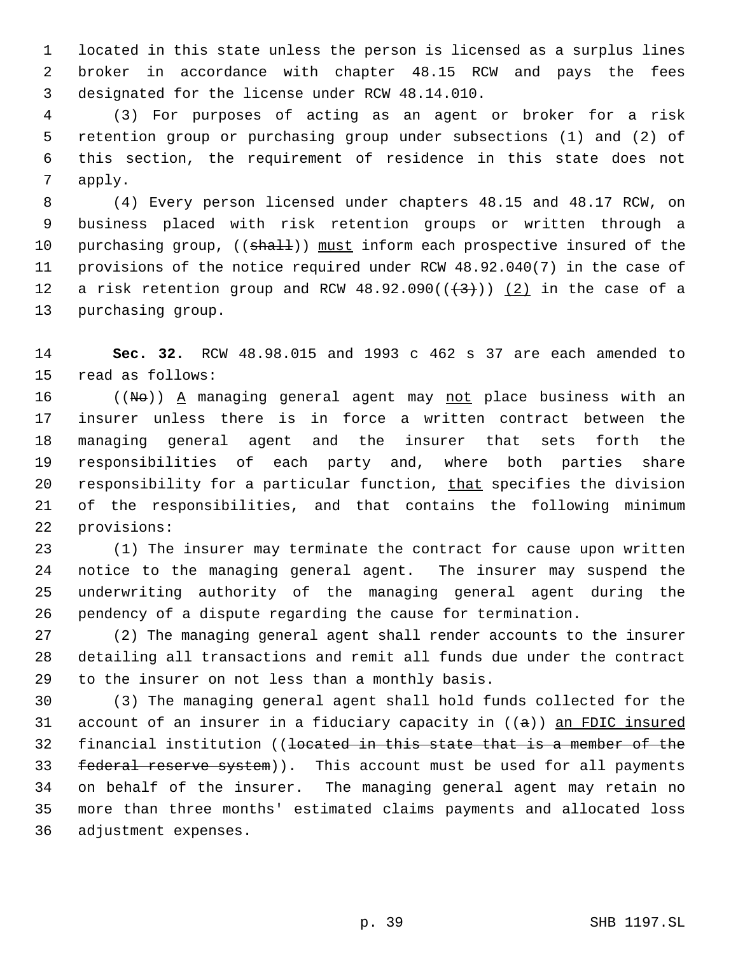located in this state unless the person is licensed as a surplus lines broker in accordance with chapter 48.15 RCW and pays the fees designated for the license under RCW 48.14.010.

 (3) For purposes of acting as an agent or broker for a risk retention group or purchasing group under subsections (1) and (2) of this section, the requirement of residence in this state does not apply.

 (4) Every person licensed under chapters 48.15 and 48.17 RCW, on business placed with risk retention groups or written through a 10 purchasing group,  $((shall))$  must inform each prospective insured of the provisions of the notice required under RCW 48.92.040(7) in the case of 12 a risk retention group and RCW  $48.92.090((\frac{4}{3}))$  (2) in the case of a purchasing group.

 **Sec. 32.** RCW 48.98.015 and 1993 c 462 s 37 are each amended to read as follows:

16 ((No))  $\overline{A}$  managing general agent may not place business with an insurer unless there is in force a written contract between the managing general agent and the insurer that sets forth the responsibilities of each party and, where both parties share 20 responsibility for a particular function, that specifies the division of the responsibilities, and that contains the following minimum provisions:

 (1) The insurer may terminate the contract for cause upon written notice to the managing general agent. The insurer may suspend the underwriting authority of the managing general agent during the pendency of a dispute regarding the cause for termination.

 (2) The managing general agent shall render accounts to the insurer detailing all transactions and remit all funds due under the contract to the insurer on not less than a monthly basis.

 (3) The managing general agent shall hold funds collected for the 31 account of an insurer in a fiduciary capacity in  $((a))$  an FDIC insured financial institution ((located in this state that is a member of the 33 federal reserve system)). This account must be used for all payments on behalf of the insurer. The managing general agent may retain no more than three months' estimated claims payments and allocated loss adjustment expenses.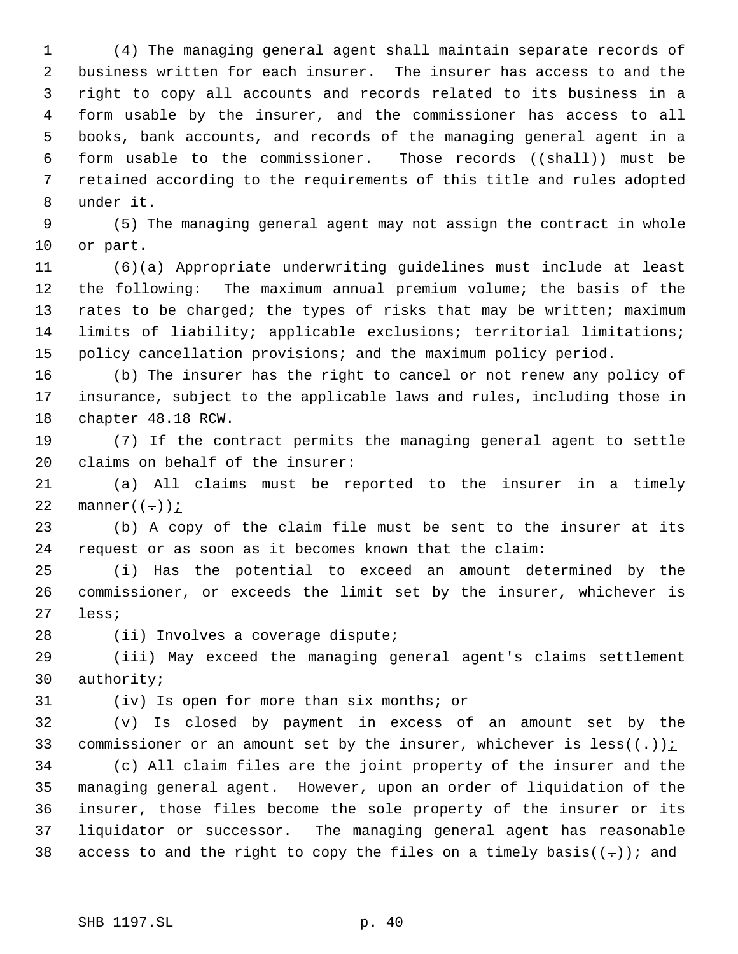(4) The managing general agent shall maintain separate records of business written for each insurer. The insurer has access to and the right to copy all accounts and records related to its business in a form usable by the insurer, and the commissioner has access to all books, bank accounts, and records of the managing general agent in a 6 form usable to the commissioner. Those records  $((shalt))$  must be retained according to the requirements of this title and rules adopted under it.

 (5) The managing general agent may not assign the contract in whole or part.

 (6)(a) Appropriate underwriting guidelines must include at least the following: The maximum annual premium volume; the basis of the 13 rates to be charged; the types of risks that may be written; maximum limits of liability; applicable exclusions; territorial limitations; policy cancellation provisions; and the maximum policy period.

 (b) The insurer has the right to cancel or not renew any policy of insurance, subject to the applicable laws and rules, including those in chapter 48.18 RCW.

 (7) If the contract permits the managing general agent to settle claims on behalf of the insurer:

 (a) All claims must be reported to the insurer in a timely 22 manner $((-))$  *i* 

 (b) A copy of the claim file must be sent to the insurer at its request or as soon as it becomes known that the claim:

 (i) Has the potential to exceed an amount determined by the commissioner, or exceeds the limit set by the insurer, whichever is less;

28 (ii) Involves a coverage dispute;

 (iii) May exceed the managing general agent's claims settlement authority;

(iv) Is open for more than six months; or

 (v) Is closed by payment in excess of an amount set by the 33 commissioner or an amount set by the insurer, whichever is less( $(-)$ );

 (c) All claim files are the joint property of the insurer and the managing general agent. However, upon an order of liquidation of the insurer, those files become the sole property of the insurer or its liquidator or successor. The managing general agent has reasonable 38 access to and the right to copy the files on a timely basis( $(-)$ ); and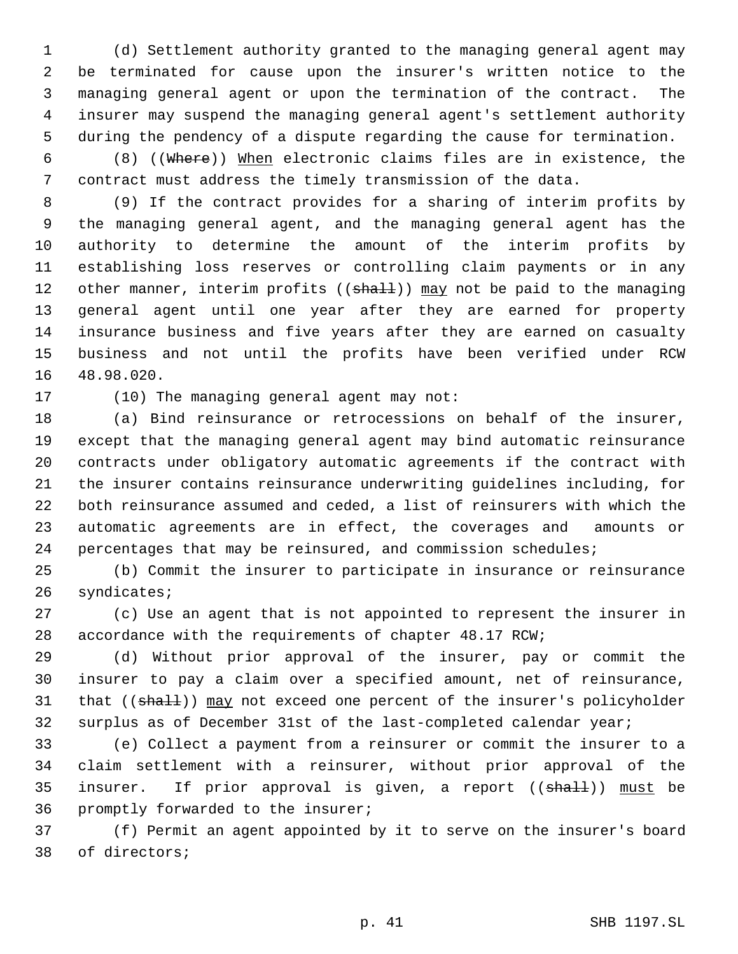(d) Settlement authority granted to the managing general agent may be terminated for cause upon the insurer's written notice to the managing general agent or upon the termination of the contract. The insurer may suspend the managing general agent's settlement authority during the pendency of a dispute regarding the cause for termination.

 (8) ((Where)) When electronic claims files are in existence, the contract must address the timely transmission of the data.

 (9) If the contract provides for a sharing of interim profits by the managing general agent, and the managing general agent has the authority to determine the amount of the interim profits by establishing loss reserves or controlling claim payments or in any 12 other manner, interim profits  $((shall))$  may not be paid to the managing general agent until one year after they are earned for property insurance business and five years after they are earned on casualty business and not until the profits have been verified under RCW 48.98.020.

17 (10) The managing general agent may not:

 (a) Bind reinsurance or retrocessions on behalf of the insurer, except that the managing general agent may bind automatic reinsurance contracts under obligatory automatic agreements if the contract with the insurer contains reinsurance underwriting guidelines including, for both reinsurance assumed and ceded, a list of reinsurers with which the automatic agreements are in effect, the coverages and amounts or percentages that may be reinsured, and commission schedules;

 (b) Commit the insurer to participate in insurance or reinsurance syndicates;

 (c) Use an agent that is not appointed to represent the insurer in accordance with the requirements of chapter 48.17 RCW;

 (d) Without prior approval of the insurer, pay or commit the insurer to pay a claim over a specified amount, net of reinsurance, 31 that ((shall)) may not exceed one percent of the insurer's policyholder surplus as of December 31st of the last-completed calendar year;

 (e) Collect a payment from a reinsurer or commit the insurer to a claim settlement with a reinsurer, without prior approval of the 35 insurer. If prior approval is given, a report ((shall)) must be promptly forwarded to the insurer;

 (f) Permit an agent appointed by it to serve on the insurer's board of directors;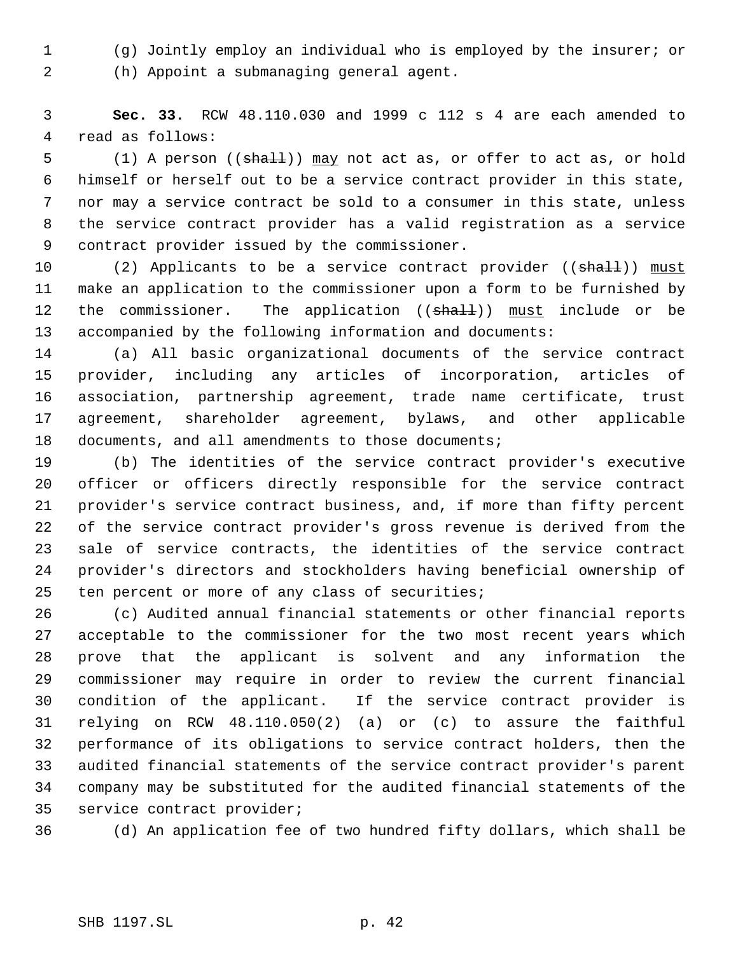(g) Jointly employ an individual who is employed by the insurer; or

(h) Appoint a submanaging general agent.

 **Sec. 33.** RCW 48.110.030 and 1999 c 112 s 4 are each amended to read as follows:

5 (1) A person ((shall)) may not act as, or offer to act as, or hold himself or herself out to be a service contract provider in this state, nor may a service contract be sold to a consumer in this state, unless the service contract provider has a valid registration as a service contract provider issued by the commissioner.

10 (2) Applicants to be a service contract provider ((shall)) must make an application to the commissioner upon a form to be furnished by 12 the commissioner. The application ((shall)) must include or be accompanied by the following information and documents:

 (a) All basic organizational documents of the service contract provider, including any articles of incorporation, articles of association, partnership agreement, trade name certificate, trust agreement, shareholder agreement, bylaws, and other applicable 18 documents, and all amendments to those documents;

 (b) The identities of the service contract provider's executive officer or officers directly responsible for the service contract provider's service contract business, and, if more than fifty percent of the service contract provider's gross revenue is derived from the sale of service contracts, the identities of the service contract provider's directors and stockholders having beneficial ownership of ten percent or more of any class of securities;

 (c) Audited annual financial statements or other financial reports acceptable to the commissioner for the two most recent years which prove that the applicant is solvent and any information the commissioner may require in order to review the current financial condition of the applicant. If the service contract provider is relying on RCW 48.110.050(2) (a) or (c) to assure the faithful performance of its obligations to service contract holders, then the audited financial statements of the service contract provider's parent company may be substituted for the audited financial statements of the service contract provider;

(d) An application fee of two hundred fifty dollars, which shall be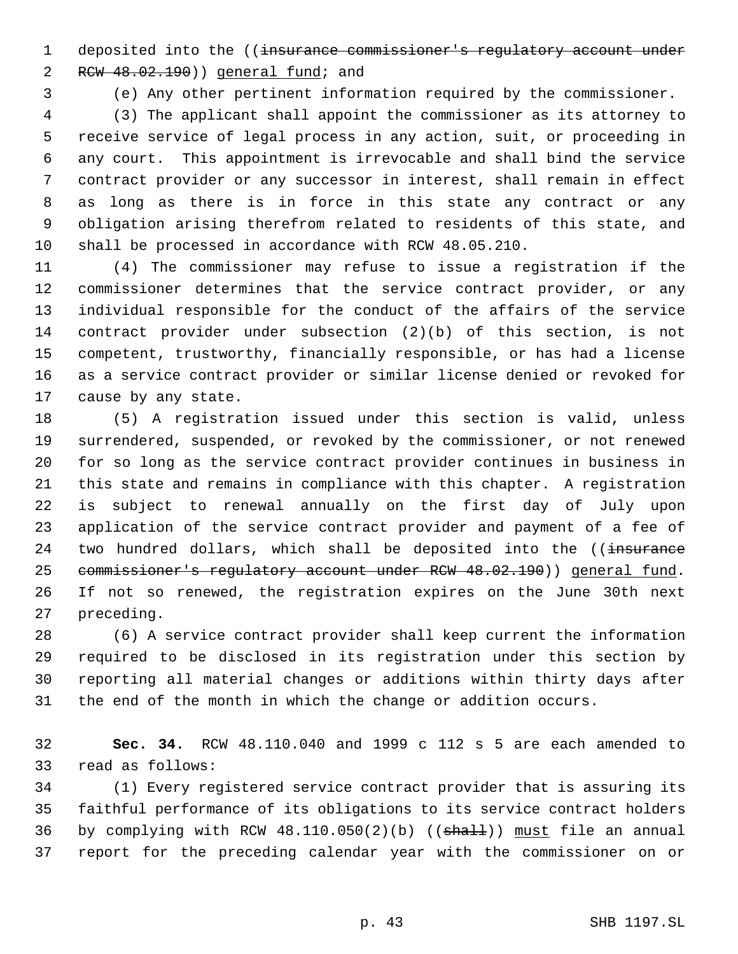1 deposited into the ((insurance commissioner's regulatory account under

2 RCW 48.02.190) general fund; and

(e) Any other pertinent information required by the commissioner.

 (3) The applicant shall appoint the commissioner as its attorney to receive service of legal process in any action, suit, or proceeding in any court. This appointment is irrevocable and shall bind the service contract provider or any successor in interest, shall remain in effect as long as there is in force in this state any contract or any obligation arising therefrom related to residents of this state, and shall be processed in accordance with RCW 48.05.210.

 (4) The commissioner may refuse to issue a registration if the commissioner determines that the service contract provider, or any individual responsible for the conduct of the affairs of the service contract provider under subsection (2)(b) of this section, is not competent, trustworthy, financially responsible, or has had a license as a service contract provider or similar license denied or revoked for cause by any state.

 (5) A registration issued under this section is valid, unless surrendered, suspended, or revoked by the commissioner, or not renewed for so long as the service contract provider continues in business in this state and remains in compliance with this chapter. A registration is subject to renewal annually on the first day of July upon application of the service contract provider and payment of a fee of 24 two hundred dollars, which shall be deposited into the ((insurance 25 commissioner's regulatory account under RCW 48.02.190) general fund. If not so renewed, the registration expires on the June 30th next preceding.

 (6) A service contract provider shall keep current the information required to be disclosed in its registration under this section by reporting all material changes or additions within thirty days after the end of the month in which the change or addition occurs.

 **Sec. 34.** RCW 48.110.040 and 1999 c 112 s 5 are each amended to read as follows:

 (1) Every registered service contract provider that is assuring its faithful performance of its obligations to its service contract holders 36 by complying with RCW 48.110.050(2)(b) ((shall)) must file an annual report for the preceding calendar year with the commissioner on or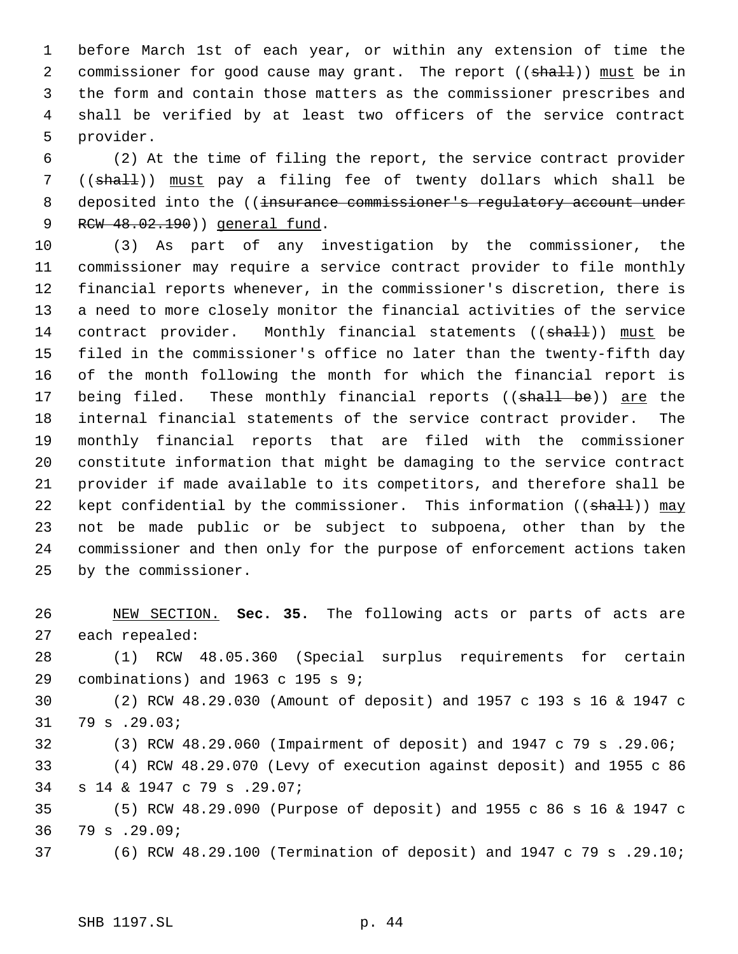before March 1st of each year, or within any extension of time the 2 commissioner for good cause may grant. The report ((shall)) must be in the form and contain those matters as the commissioner prescribes and shall be verified by at least two officers of the service contract provider.

 (2) At the time of filing the report, the service contract provider ((shall)) must pay a filing fee of twenty dollars which shall be 8 deposited into the ((insurance commissioner's regulatory account under 9 RCW 48.02.190) ) general fund.

 (3) As part of any investigation by the commissioner, the commissioner may require a service contract provider to file monthly financial reports whenever, in the commissioner's discretion, there is a need to more closely monitor the financial activities of the service 14 contract provider. Monthly financial statements ((shall)) must be filed in the commissioner's office no later than the twenty-fifth day of the month following the month for which the financial report is 17 being filed. These monthly financial reports ((shall be)) are the internal financial statements of the service contract provider. The monthly financial reports that are filed with the commissioner constitute information that might be damaging to the service contract provider if made available to its competitors, and therefore shall be 22 kept confidential by the commissioner. This information ((shall)) may not be made public or be subject to subpoena, other than by the commissioner and then only for the purpose of enforcement actions taken by the commissioner.

 NEW SECTION. **Sec. 35.** The following acts or parts of acts are each repealed: (1) RCW 48.05.360 (Special surplus requirements for certain combinations) and 1963 c 195 s 9; (2) RCW 48.29.030 (Amount of deposit) and 1957 c 193 s 16 & 1947 c 79 s .29.03; (3) RCW 48.29.060 (Impairment of deposit) and 1947 c 79 s .29.06; (4) RCW 48.29.070 (Levy of execution against deposit) and 1955 c 86 s 14 & 1947 c 79 s .29.07; (5) RCW 48.29.090 (Purpose of deposit) and 1955 c 86 s 16 & 1947 c 79 s .29.09;

(6) RCW 48.29.100 (Termination of deposit) and 1947 c 79 s .29.10;